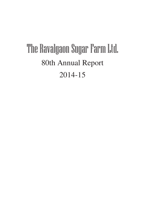# The Ravalgaon Sugar Farm Ltd. 80th Annual Report 2014-15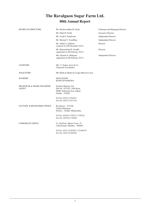# **The Ravalgaon Sugar Farm Ltd. 80th Annual Report**

| <b>BOARD OF DIRECTORS</b>                      | Mr. Harshavardhan B. Doshi                                                                                  | Chairman and Managing Director |
|------------------------------------------------|-------------------------------------------------------------------------------------------------------------|--------------------------------|
|                                                | Mr. Nihal H. Doshi                                                                                          | <b>Executive Director</b>      |
|                                                | Mr. Yazdi P. Dandiwala                                                                                      | <b>Independent Director</b>    |
|                                                | Mr. Moorad Y. Fazalbhoy                                                                                     | <b>Independent Director</b>    |
|                                                | Mr. Ashok S. Ashtekar<br>(expired on 25th December 2014)                                                    | Director                       |
|                                                | Mr. Hukumchand P. Gandhi<br>(appointed on 9th February 2015)                                                | Director                       |
|                                                | Mrs. Ramola S. Mahajani<br>(appointed on 9th February 2015)                                                 | <b>Independent Director</b>    |
| <b>AUDITORS</b>                                | M/s. V. Sankar Aiyar & Co.<br><b>Chartered Accountants</b>                                                  |                                |
| <b>SOLICITORS</b>                              | M/s Mulla & Mulla & Craigie Blunt & Caroe                                                                   |                                |
| <b>BANKERS</b>                                 | <b>DENA BANK</b><br><b>BANK OF BARODA</b>                                                                   |                                |
| <b>REGISTRAR &amp; SHARE TRANSFER</b><br>AGENT | Freedom Registry Ltd.<br>Plot No. 101/102, 19th Street,<br>MIDC Industrial Area, Satpur,<br>Nashik - 422007 |                                |
|                                                | Tel No: (0253) 2354032<br>Fax No: (0253) 2351126                                                            |                                |
| FACTORY & REGISTERED OFFICE                    | Ravalgaon $-423108$ ,<br>Taluka Malegaon,<br>District - Nashik, Maharashtra                                 |                                |
|                                                | Tel No: (02554) 270274 / 270238<br>Fax No: (02554) 270284                                                   |                                |
| <b>CORPORATE OFFICE</b>                        | 52, 5th Floor, Maker Tower 'F',<br>Cuffe Parade, Mumbai - 400005                                            |                                |
|                                                |                                                                                                             |                                |

Tel No: (022) 22184291 / 22186479 Fax No: (022) 22184294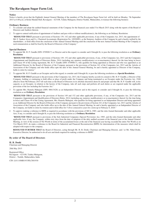#### **Notice**

Notice is hereby given that the Eightieth Annual General Meeting of the members of The Ravalgaon Sugar Farm Ltd. will be held on Monday, 7th September 2015 at 4:00 p.m. at Krida Mandal Hall, Ravalgaon – 423108, Taluka Malegaon, District Nashik, Maharashtra, to transact the following business:

#### **Ordinary Business**

- 1 To consider and adopt the audited financial statements of the Company for the financial year ended 31st March 2015 along with the reports of the Board of Directors and Auditors thereon.
- 2 To approve annual ratification of appointment of Auditors and pass with or without modifications(s), the following as an Ordinary Resolution:

"**RESOLVED THAT** pursuant to provisions of Sections 139, 142 and other applicable provisions, if any of the Companies Act, 2013, the appointment of M/s V. Sankar Aiyar and Co., Chartered Accountants (Registration No. 109208W), as the Statutory Auditors of the Company be and is hearby ratified by the shareholders , to hold office from the conclusion of this Annual General Meeting until the conclusion of the next Annual General Meeting of the Company at such remuneration as shall be fixed by the Board of Directors of the Company."

#### **Special Business**

1 To appoint Mr. H. P. Gandhi (DIN: 07090817) as Director and in this regard, to consider and if thought fit, to pass the following resolution as an **Ordinary Resolution**:

"**RESOLVED THAT** pursuant to provisions of Sections 149, 152 and other applicablet provisions, if any, of the Companies Act, 2013 and the Companies (Appointment and Qualification of Directors) Rules, 2014 (including any statutory modification(s) or re-enactments(s) thereof, for the time being in force) and Clause 49 of the Listing Agreement, Mr. H. P. Gandhi (DIN: 07090817), who qualifies for being appointed as Director and who was appointed as an Additional Director by the Board of Directors of the Company pursuant to the provisions of Section 161 of the Companies Act, 2013 and the Articles of Association of the Company and who holds office upto the date of this Annual General Meeting, be and is hereby appointed as Director of the Company, liable to retire by rotation."

2 To appoint Mr. H. P. Gandhi as an Occupier and in this regard, to consider and if thought fit, to pass the following resolution as a **Special Resolution**:

"**RESOLVED THAT** pursuant to the provisions of the Companies Act, 2013, the Company hereby accords its consent to Mr. H. P. Gandhi, a Director of the Company, holding or continuing to hold office or place of profit under the Company and being nominated as an Occupier under the Factories Act, 1948 effective from 9th February 2015 till such time as the Board of Directors in its absolute discretion deem fit and proper and that Mr. H. P. Gandhi will, in his capacity as an Occupier, in relation to the factory of the Company, take all such steps and perform all such duties as are required under the applicable provisions of the law including the Factories Act."

3 To appoint Mrs. Ramola Mahajani (DIN: 00613428) as an Independent Director and in this regard, to consider and if thought fit, to pass the following resolution as an **Ordinary Resolution**:

"**RESOLVED THAT** pursuant to the provisions of Section 149 and 152 and other applicable provisions, if any, of the Companies Act, 2013 and the Companies (Appointment and Qualification of Directors) Rules, 2014 (including any statutory modification(s) or re-enactments(s) thereof, for the time being in force) and Clause 49 of the Listing Agreement, Mrs. Ramola Mahajani, who qualifies for being appointed as an Independent Director and being appointed as an Additional Director by the Board of Directors of the Company pursuant to the provisions of Section 161 of the Companies Act, 2013 and the Articles of Association of the Company and who holds office up to the date of this Annual General Meeting, be and is hereby appointed as an Independent Director of the Company, not liable to retire by rotation and to hold office for 5 (five) consecutive years for a term up to February 8, 2020."

4 To approve making a reference to BIFR as required in accordance with the provisions of SICA, 1985, and the rules framed thereunder and other applicable Acts, if any, to consider and if thought fit, to pass the following resolution as a **Ordinary Resolution**:

OLVED THAT pursuant to provisions of the Sick Industrial Companies (Special Provisions) Act, 1985, and the rules framed thereunder and other applicable Acts, if any, the Company, within sixty days from the date of adoption of the duly audited accounts of the financial year at the Annual General Meeting, in view of the erosion of Net Worth in terms of the accumulated losses at the end of the financial year having exceeded the entire Net Worth as on 31st March 2015, do make a reference to the Board for Industrial and Financial Reconstruction (BIFR) for determination of the measures which shall be adopted with respect to the company.

**RESOLVED FURTHER THAT** the Board of Directors, acting through Mr. H. B. Doshi, Chairman and Managing Director, and / or Mr. Nihal Doshi, Executive Director, be authorized to do all acts and deeds required for making a reference to BIFR".

#### **By order of The Board of Directors**

**H. B. Doshi** Chairman and Managing Director

28th May 2015

Registered Office: Ravalgaon – 423108, Taluka Malegaon, District – Nashik, Maharashtra, India

CIN: L01110MH1933PLC001930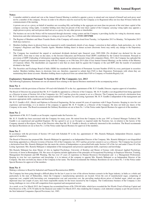#### **Notes:**

1 A member entitled to attend and vote at the Annual General Meeting is entitled to appoint a proxy to attend and vote instead of himself and such proxy need not be a member of the company. Proxies in order to be effective must be received by the Company at its Registered office not less than 48 hours before the commencement of the meeting.

A person can act as a proxy on behalf of members not exceeding fifty and holding in the aggregate not more than ten percent of the total share capital of the company carrying voting rights. A member holding more than ten percent of the total share capital of the Company carrying voting rights may appoint a single person as proxy and such person shall not act as a proxy for any other person or shareholder.

- 2 The business set out in the Notice will be transacted through electronic voting system and the Company is providing facility for voting by electronic means. Instructions and other information relating to e-voting are given on Page No. 4. **EVSN 150727008**
- 3 The Register of Members and Share Transfer Books of the Company will remain closed from Tuesday, 1st September 2015 to Monday, 7th September 2015 (both days inclusive).
- Members holding shares in physical form are requested to notify immediately details of any change / correction in their address, bank particulars, etc. to the Company's Registrars and Share Transfer Agents. Members holding shares in demat account (electronic form) may notify any change to the Depository Participant.
- 5 The Company has transferred the unpaid or unclaimed dividends declared upto financial years 2005-2006 (No dividend was declared for the year 2006-2007), from time to time on due dates, to the Investor Education and Protection Fund (IEPF) established by the Central Government. Pursuant to provisions of IEPF (Uploading of information regarding unpaid and unclaimed amounts lying with companies) Rules, 2012, the Company has uploaded the details of upaid and unclaimed amounts lying with the Company as on 19th June 2014 (date of last Annual General Meeting), on the website of the Ministry of Corporate Affairs. The shareholders are requested to note that no claim shall lie against the Company or the said IEPF after the transfer of unclaimed dividend to the fund.
- 6 The Securities and Exchange Board of India (SEBI) has mandated the submission of Permanent Account Number (PAN) by every participant in securities market. Members holding shares in electronic form are, therefore, requested to submit their PAN to their Depository Participants with whom they are maintaining their demat accounts. Members holding shares in physical form can submit their PAN to Company or Freedom Registry Ltd.

#### **Explanatory Statement Pursuant To Section 102 of The Companies Act, 2013**

The following Explanatory Statement sets out all material facts relating to the Special Business mentioned in the accompanying notice:

#### **Item No: 1**

In accordance with the provisions of Section 149 read with Schedule IV to the Act, appointment of Mr. H. P. Gandhi, Director, requires approval of members.

The Board of Directors has proposed that Mr. H. P. Gandhi be appointed as a Director of the Company. Mr. H. P. Gandhi is not disqualified from being appointed as a Director in terms of Section 164 of the Companies Act, 2013 and has given his consent to act as a Director. The Company has received a declaration from Mr. H. P. Gandhi that he meets the criteria as required under the Companies Act and Listing Agreement. Mr. H. P. Gandhi is independent of the management and possesses appropriate skills, experience and knowledge.

Mr. H. P. Gandhi is B.E. (Mech) and Diploma in Electrical Engineering. He has around 46 years of experience with 9 Sugar Factories. Keeping in view his vast experience and knowledge, it is in interest of the company to appoint Mr. H. P. Gandhi as a Director of the Company. He does not hold any shares of the Company in his name. The Board recommends the Ordinary Resolution set out at Item No. 1 of the Notice under Special Business for approval of the members.

#### **Item No: 2**

Appointment of Mr. H. P. Gandhi as an Occupier, required under the Factories Act.

Mr. H. P. Gandhi has been associated with the Company for many years. He retired from the Company in the year 1997 as General Manager Technical. Mr. Gandhi is an experienced and qualified Engineer. He has agreed to act as an Occupier as required under the Factories Act, in relation to the factory of the Company situated at Ravalgaon. None of the Directors other than Mr. H. P. Gandhi is directly or indirectly interested in this resolution. The Board recommends the Special Resolution set out at Item No. 2 of the Notice under Special Business for approval of the members.

#### **Item No: 3**

In accordance with the provisions of Section 149 read with Schedule IV to the Act, appointment of Mrs. Ramola Mahajani, Independent Director, requires approval of members.

The Board of Directors has proposed Mrs. Ramola Mahajani be appointed as an Independent Director of the Company. Mrs. Ramola Mahajani is not disqualified from being appointed as a Director in terms of Section 164 of the Companies Act, 2013 and has given her consent to act as a Director. The Company has received a declaration from Mrs. Ramola Mahajani that she meets the criteria of Independence as prescribed both under Section 149 of the Act and under Clause 49 of the Listing Agreement. Mrs. Ramola Mahajani is independent of the management and possesses appropriate skills, experience and knowledge.

Mrs Ramola Mahajani has done Master of Arts in Applied Psychology, University of Bombay and Master of Science with Advanced Applied Psychology, University of Aston in Birmingham, UK. Her areas of expertise include application of the principles of Occupational Psychology in Employee Selection, Training, Management Development and HR Planning. She has over 25 years of experience in Human Resources Development and is a Management Professional. Keeping in view her vast experience and knowledge, it is in interest of the company to appoint Mrs. Ramola Mahajani as an Independent Director of the Company. She does not hold any shares of the Company in her name. The Board recommends the Ordinary Resolution set out at Item No. 3 of the Notice under Special Business for approval of the members.

#### **Item No: 4**

Making a reference to Board for Industrial and Financial Reconstruction (BIFR).

The Company has been going through a difficult phase for the last 4 years in view of the adverse business scenario in the Sugar industry, in India as a whole and particularly in the state of Maharshtra, where the Company's manufacturing operations are located. Given the cost of manufactured sugar, comprising of sugarcane cost, coupled with harvesting cost, transportation cost and conversion cost, the prevailing market-driven prices of finished sugar, which are quite depressed since last couple of years, have been responsible mainly for the losses incurred by the Company. The Confectionery business of the Company is also facing challenges in view of the stiff competition from organized and unorganized sectors.

As a result, as on 31st March 2015, the Company has accumulated losses of Rs 2594.68 lakhs, which have exceeded the Net Worth (Total of Paid-up Capital and Free Reserves) of Rs. 2278.76 lakhs for the financial year ended 31st March 2015, thus rendering the Company a sick industrial company as per the provisions of the Sick Industrial Companies (Special Provisions) Act, 1985.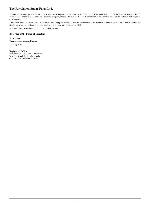# **The Ravalgaon Sugar Farm Ltd.**

In accordance with the provisions of the SICA, 1985, the Company shall, within sixty days of adoption of the audited accounts for the financial year as at the end of which the Company has become a sick industrial company, make a reference to BIFR for determination of the measures which shall be adopted with respect to the Company.

The Audit Committee has examined the issue and accordingly the Board of Directors recommends to the members to approve the said resolution as an Ordinary Resolution to enable the Board to take the necessary action for making reference to BIFR.

None of the Directors is interested in the aforesaid resolution.

#### **By Order of the Board of Directors**

**H. B. Doshi** Chairman and Managing Director

28th May 2015

#### **Registered Office:**

Ravalgaon – 423108, Taluka Malegaon, District – Nashik, Maharashtra, India CIN: L01110MH1933PLC001930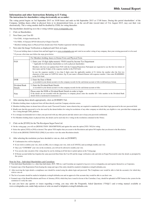#### **Information and other Instructions Relating to E-Voting The instructions for shareholders voting electronically are as under:**

The voting period begins on 3rd September 2015 on 10:00 hours and ends on 6th September 2015 at 17:00 hours. During this period shareholders' of the Company, holding shares either in physical form or in dematerialized form, as on the cut-off date (record date) of 31st August 2015, may cast their vote electronically. The e-voting module shall be disabled by CDSL for voting thereafter.

The shareholders should log on to the e-voting website www.evotingindia.com.

- 1 Click on Shareholders.
- 2 Now Enter your User ID
	- \* For CDSL: 16 digits beneficiary ID,
	- \* For NSDL: 8 Character DP ID followed by 8 Digits Client ID,
	- \* Members holding shares in Physical Form should enter Folio Number registered with the Company.
- 3 Next enter the Image Verification as displayed and Click on Login.
	- \* If you are holding shares in demat form and had logged on to www.evotingindia.com and voted on an earlier voting of any company, then your existing password is to be used. \* If you are a first time user follow the steps given below:

|                          | For Members holding shares in Demat Form and Physical Form                                                                                                                                                                                                                  |  |  |  |
|--------------------------|-----------------------------------------------------------------------------------------------------------------------------------------------------------------------------------------------------------------------------------------------------------------------------|--|--|--|
| <b>PAN</b>               | 1. Enter your 10 digit alpha-numeric *PAN issued by Income Tax Department<br>* Applicable for both demat shareholders as well as physical shareholders                                                                                                                      |  |  |  |
|                          | Members who have not updated their PAN with the Company/Depository Participant are requested to use the first two letters of<br>their name and the 8 digits of the sequence number in the PAN field.                                                                        |  |  |  |
|                          | In case the sequence number is less than 8 digits enter the applicable number of 0's before the number after the first two<br>characters of the name in CAPITAL letters. Eg. If your name is Ramesh Kumar with sequence number 1 then enter RA00000001<br>in the PAN field. |  |  |  |
| <b>DOB</b>               | 2. Enter the Date of Birth<br>as recorded in your demat account or in the company records for the said demat account or folio in dd/mm/yyyy format.                                                                                                                         |  |  |  |
| Dividend Bank<br>Details | 3. Enter the Dividend Bank Details<br>as recorded in your demat account or in the company records for the said demat account or folio.                                                                                                                                      |  |  |  |
| Note                     | Please enter the DOB or Dividend Bank Details in order to login.<br>If the details are not recorded with the depository or company please enter the member ID / folio number in the Dividend Bank<br>details field as mentioned in instruction (2)                          |  |  |  |

#### 4 After entering these details appropriately, click on [SUBMIT] Tab.

# Members holding shares in physical form will then directly reach the Company selection screen.

- # Members holding shares in demat form will now reach 'Password Creation' menu wherein they are required to mandatorily enter their login password in the new password field.
- # Kindly note that this password is to be also used by the demat holders for voting for resolutions of any other company on which they are eligible to vote, provided that company opts for e-voting through CDSL platform.
- # It is strongly recommended not to share your password with any other person and take utmost care to keep your password confidential.
- # For Members holding shares in physical form, the details can be used only for e-voting on the resolutions contained in this Notice.

#### 5 Click on the [EVSN] for the The Ravalgaon Sugar Farm Ltd.

- # On the voting page, you will see [RESOLUTION DESCRIPTION] and against the same the option [YES / NO] for voting.
- # Select the option [YES] or [NO] as desired. The option YES implies that you assent to the Resolution and option NO implies that you dissent to the Resolution.
- # Click on the [RESOLUTIONS FILE LINK] if you wish to view the entire Resolution details.
- 6 After selecting the resolution you have decided to vote on, click on [SUBMIT].
	- # Confirmation box will be displayed.
	- # If you wish to confirm your vote, click on [OK], else to change your vote, click on [CANCEL] and accordingly modify your vote.
	- # Once you "CONFIRM" your vote on the resolution, you will not be allowed to modify your vote.
	- # You can also take out print of the voting done by you by clicking on [Click here to print] option on the Voting page.
	- # If Demat account holder has forgotten the same password then Enter the User ID and the image verification code and click on Forgot Password & enter the details as prompted by the system.

#### Note for Non – Individual Shareholders and Custodians

- # Non-Individual Shareholders (i.e. other than Individuals, HUF, NRI etc.) and Custodian are required to log on to www.evotingindia.com and register themselves as Corporates.
- # Scanned copy of the Registration Form bearing the stamp and sign of the entity should be emailed to helpdesk.evoting@cdslindia.com.
- # After receiving the login details a compliance user should be created using the admin login and password. The Compliance user would be able to link the account(s) for which they wish to vote on.
- # The list of accounts should be mailed to helpdesk.evoting@cdslindia.com and on approval of the accounts they would be able to cast their vote.
- # Scanned copy of the Board Resolution and Power of Attorney (POA) which they have issued in favour of the Custodian, if any, should be uploaded in PDF format in the system for the scrutinizer to verify the same.

In case you have any queries or issues regarding e-voting, you may refer the Frequently Asked Questions ("FAQs") and e-voting manual available at www.evotingindia.com, under help section or write an email to helpdesk.evoting@cdslindia.com.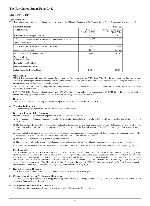## **Directors' Report**

#### **Dear Members,**

Your Directors present the 80th Annual Report together with the Audited Financial Statement of the Company for the financial year ended 31st March 2015.

| 1. Financial Results:                                                          |                               | <b>Rs</b> In Lacs                         |
|--------------------------------------------------------------------------------|-------------------------------|-------------------------------------------|
| <b>PARTICULARS</b>                                                             | Year ended<br>31st March 2015 | 18 months period ended<br>31st March 2014 |
| Net Profit / (Loss) after providing for :                                      | (1307.48)                     | (1538.42)                                 |
| i) Depreciation (including additional depreciation as per Companies Act, 2013) | 245.57                        | 311.86                                    |
| ii) Prior Period Items                                                         |                               |                                           |
| iii) Provisions for Taxation (including Deferred Tax)                          | (8.85)                        | 14.24                                     |
| Surplus brought forward                                                        | (1287.20)                     | 251.22                                    |
| Amount available for appropriation                                             | (2594.68)                     | (1287.20)                                 |
| Appropriation:                                                                 |                               |                                           |
| Proposed Dividend                                                              | $\overline{\phantom{a}}$      |                                           |
| Tax on Proposed Dividend                                                       | -                             |                                           |
| <b>Transfer to General Reserve</b>                                             | ٠                             |                                           |
| Balance carried to Balance Sheet                                               | (2594.68)                     | (1287.20)                                 |
|                                                                                |                               |                                           |

#### **2. Operations :**

SUGAR: Due to commercial reasons the company did not run the mill for the sugar season 2013-14 and 2014-15 as the same would have had more adverse effect on the financial position of the company. However, in order to be able to run subsequent seasons without any constraints, the company had to maintain the infrastructure, which has added to losses for the year.

CANDY SUGAR: The unhealthy competition from unorganized sector poses problems for candy sugar business and hence company is not undertaking manufacture of candy sugar.

CONFECTIONERY: Production of confectionery was 1522 MT during the year under review as compared to 2940 MT during the previous period of 18 months. The company concentrated on brands such as Pan Pasand, Mango Mood, Coffee Break, etc.

#### **3. Dividend :**

Your Directors do not recommend any dividend on the equity shares for the year ended 31st March 2015.

#### **4. Transfer To Reserves :**

The Company has proposed not to transfer any amount to the General Reserve.

#### **5. Directors' Responsibility Statement :**

Pursuant to Section 134 (3)(c) of the Companies Act, 2013, the Directors' confirm that:

- a) In the preparation of Annual Accounts, the applicable Accounting Standards have been followed along with proper explanation relating to material departures.
- b) The directors had selected such accounting policies and applied them consistently and made judgments and estimates that are reasonable and prudent so as to give true and fair view of the state of affairs of the Company at the end of the financial year and of the profit and loss account of the Company for that year.
- c) Proper and sufficient care has been taken for maintaining adequate accounting records in accordance with the provisions of the Companies Act, 2013 for safeguarding the assets of the Company and for preventing and detecting fraud and other irregularities.
- d) The Annual Accounts have been prepared on a going concern basis.
- e) The company has followed a proper internal financial control and that such internal financial controls are adequate and were operating effectively.
- f) A system has been devised to ensure compliance with the provisions of all applicable laws and that such systems were adequate and operating effectively.

#### **6. Fixed Deposits :**

The total amount of fixed deposit as at 31st March 2015 was Rs. 579.78 lacs. There are no overdue deposits except unclaimed deposits amounting to Rs. 15.78 lacs, which is included in the aforesaid total amount of Fixed Deposits. The Company had made an application under section 74(2) of the Companies Act 2013 seeking extension of time for making repayment of the dues payable by it to the Fixed Deposit Holders. The Company has received an Order dated 9th April 2015 from the Hon'ble Company Law Board, Mumbai Bench, under Section 74(2) of the Companies Act, 2013 allowing the said application by extending the date of repayment of Fixed Deposits to the date of maturity of the respective FDRs. The Company is thankful to the Fixed Deposit holders for their continued support. The Company has not accepted any fixed deposit form 1<sup>st</sup> April, 2014.

#### **7. Extract of Annual Return :**

The extract of Annual Return of the Company is annexed herewith as Annexure 1 of this Report.

#### **8. Conservation of Energy, Technology Absorption :**

The particulars relating to conservation of energy, technology absorption, foreign exchange earnings and outgo, as required to be disclosed under the Act, are provided in Annexure 2 to this Report.

#### **9. Management Discussion and Analysis :**

The details regarding management discussion and analysis is provided in Annexure 3 to this Report.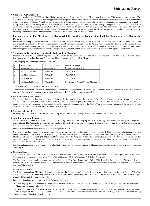#### **10. Corporate Governance :**

As per the requirements of SEBI regarding Listing Agreement and further in reference to Circular dated September 2014 stating amendment that, "The Clause 49 of the Listing Agreement shall be applicable to all companies whose equity shares are listed on a recognized stock exchange. However, compliance with the provisions of Clause 49 shall not be mandatory, for the time being, in respect of the followig class of companies, i.e. companies having paid up equity share capital not exceeding Rs. 10 crore and Net Worth not exceeding Rs. 25 crores, as on the last day of the previous financial year". We wish to inform that as per the amendment, the Clause 49 is not mandatory for the company but keeping in view the importance of the same, best corporate governance practices are maintained by the company. A report on Corporate Governance under the Listing Agreement, along with a certificate from the Practicing Company Secretary, confirming the compliance is provided in Annexure 4 to the Report.

#### **11. Particulars Regarding Directors, Key Managaerial Personnel And Remuneration Paid To Dirctor And Key Managerial Personnel :**

Disclosures pertaining to remuneration and other details as required under Section 197(12) of the Act read with Rules forms part of the Report. None of the employees of the Company is drawing remuneration in excess of the limits prescribed under the Act and Rules forming part thereof. The further details with regard to payment of remuneration to Director and Key Managerial Personnel are provided in Extract of Annual Return as Annexure 1 of the Report. Details regarding appointment of Directors and formation and process of different Committees are mentioned under the report on Corporate Governance.

#### **12. Statement on Declaration Given by the Independent Directors :**

Pursuant to Section 149 (4) of the Companies Act, 2013 read with the Companies (Appointment and Qualification of Directors) Rules, 2014 the Central Government has prescribed that your Company shall have minimum two Independent Directors.

Your company has following Independent Directors:

| Sr.<br>N <sub>0</sub> | Name of the<br><b>Independent Director</b> | Date of appointment /<br>reappointment | Date of passing of<br>Special resolution, if any |
|-----------------------|--------------------------------------------|----------------------------------------|--------------------------------------------------|
|                       | Mr. Y. P. Dandiwala                        | 19/06/2014                             | 19/06/2014                                       |
| $\overline{2}$        | Mr. Moorad Fazalbhoy                       | 19/06/2014                             | 19/06/2014                                       |
| 3                     | Mr. Ashok Ashtekar <sup>*</sup>            | 19/06/2014                             | 19/06/2014                                       |
| $\overline{4}$        | Mrs Ramola Mahajani                        | 09/02/2015                             | In the present Annual General Meeting.           |

\* Mr. Ashok Ashtekar expired on 25th December 2014.

All the above Independent Directors meet the criteria of 'independence' prescribed under section 149(6) and have submitted declaration to the effect that they meet with the criteria of independence as required under section 149 (7) of the Companies Act, 2013.

#### **13. Related Party Transactions :**

The company has entered into transactions with related parties in accordance with the provisions of the Companies Act, 2013 and the particulars of the contracts or arrangements with related parties referred to in Section 188 (1), as prescribed in Form AOC-2 of the rules prescribed under Chapter IX relating to Accounts of Companies under the Companies Act, 2013 is appended as Annexure 5 of the Report. Your Directors draw attention of the members to Note 34 to the financial statements, which sets out related party disclosures.

#### **14. Meetings of Board :**

Five meetings of the Board of Directors were held during the year. Further details are provided in the report on Corporate Governance.

#### **15. Auditors and Audit Report :**

M/s V. Sankar Aiyar and Co., Chartered Accountants, Statutory Auditors of your company, retires at the ensuing Annual General Meeting and is eligible for reappointment. The Auditors have confirmed their eligibility to the effect that their re-appointment, if made, would be within the prescribed limits under the Act and that they are not disqualified for re-appointment.

Further Auditors in their report have made the following observations:

No provision has been made for the present value of the accrued Gratuity liability (net of funds lying with LIC of India) and valued actuarially by a independent actuary as at March 31, 2015 amounting to Rs. 319.33 Lacs (previous year Rs 540.53 lacs) which constitutes a departure from the Accounting Standards on Employee Benefits (AS-15) referred to in section 133 of the Act (Refer Note no.32 of financial statements). Therefore the loss for the period is under stated by Rs. 17.89 lacs (previous year Rs 73.20 lacs) and the Reserves and Surplus of the company as at March 31, 2015 are higher by Rs. 319.33 lacs (previous year Rs 540.53 lacs).

Suitable explanation has been provided by way of note 32 forming part of Financial Statement. Shareholders should consider this note as explanation as part of this report.

#### **16. Cost Auditors :**

The Board has appointed Bhavesh Marolia & Associates with reference to the Companies (Cost Records and Audit) Rules 2014, as prescribed by the Central Government in sub-sections (1) and (2) of Section 469 and Section 148 of the Companies Act, 2013 (18 of 2013).

The Company is covered under amended rules of the Companies (Cost Records and Audit) Rules, 2014, Rule 3(ii) for application of Cost records w.e.f. financial year 2014-15. We have broadly reviewed the books of account maintained by the companys pursuant to rule 5(1) of the Companies (Cost Records and Audit) Rules, 2014.

#### **17. Secretarial Auditor :**

The Board has appointed M/s. Bipin Raje and Associates as the Secretarial Auditor of the Company, according to the provisions of Section 204 of the Companies Act 2013 for conducting Secretarial Audit of the Company for the financial Year 2014-2015. The Secretarial Audit Report for the financial year ended 31st March 2015 is annexed herewith.

Further Auditors in their report have made the following observations:

a) "The Company has not complied with provisions of Section 203 of the Companies Act, 2013 read with Companies (Appointment and Remuneration of Managerial Personnel) Rules, 2014".

The Board has taken note of the same. However it expresses it's in ability to get qualified and experieced candidates given the company's size of operations. Therefore, at present, Mr. Snehal Shah, Group CFO, has been looking after the finance functions of the Company. Similarly Ms. Neha Oza has been looking after the secretarial functions of the Company.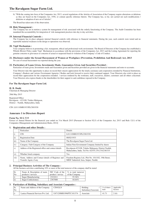b) "With the coming into force of the Companies Act, 2013, several regulations of the Articles of Association of the Company require alterations or deletions as they are based on the Companies Act, 1956, or contain specific reference thereto. The Company has, so far, not carried out such modifications / deletions or adoption of new set of Articles".

The Board has taken note of the observation.

#### **18. Risk Management :**

The Company has set in motion a system for management of risk associated with the orderly functioning of the Company. The Audit Committee has been mandated the accountability for integration of risk management practices into day to day activities.

#### **19. Internal Financial Controls :**

The Company has in place adequate internal financial controls with reference to financial statements. During the year, such controls were tested and no reportable material weakness in the design or operations was observed.

#### **20. Vigil Mechanism :**

Your company believes in promoting a fair, transparent, ethical and professional work environment. The Board of Directors of the Company has established a Whistle Blower Policy under Vigil Mechanism in accordance with the provisions of the Companies Act, 2013 and the Listing Agreement for reporting the genuine concerns or grievances or concerns of actual or suspected fraud or violation of the Company's Code of Conduct.

#### **21. Disclosure under the Sexual Harassment of Women at Workplace (Prevention, Prohibition And Redressal) Act, 2013** No case of sexual harassment was reported during the year.

#### **22. Particulars of Loans Given, Investments Made, Guarantees Given And Securities Provided :**

Particulars of loans given, Investments made and Guarantees given and Securities provided are given in the financial statements and notes to accounts.

Your Director take this opportunity to place on record their sincere appreciation for the timely assistance and cooperation extended by Financial Institutions, Company's Bankers and various Government Agencies / Bodies and look forward to receive their continued support. Your Directors also wish to place on record their appreciation for the cooperation extended / services rendered by the workmen, staff, executives, dealers, customers and all others concerned. Your Directors also express thanks to the shareholders for their support to and confidence reposed in the Company.

#### **For The Ravalgaon Sugar Farm Ltd.**

#### **H. B. Doshi**

Chairman & Managing Director

28th May 2015

Registered Office: Ravalgaon – 423108, Taluka Malegaon, District – Nashik, Maharashtra, India

CIN: L01110MH1933PLC001930

#### **Annexure 1 to Directors Report**

#### **Form No. M G T-9**

Extract of Annual Return for the financial year ended on 31st March 2015 [Pursuant to Section 92(3) of the Companies Act, 2013 and Rule 12(1) of the Companies (Management and Administration) Rules, 2014]

#### **1. Registration and other Details :**

|      | Particulars                                                                  | Details                                                                                                  |
|------|------------------------------------------------------------------------------|----------------------------------------------------------------------------------------------------------|
|      | <b>CIN</b>                                                                   | L01110MH1933PLC001930                                                                                    |
| ii)  | <b>Registration Date</b>                                                     | 08/02/1933                                                                                               |
| iii) | Name of the Company                                                          | The Ravalgaon Sugar Farm Ltd.                                                                            |
| iv)  | Category / Sub-Category of the Company                                       | Indian Non-Government Company limited by shares                                                          |
| V)   | Address of the Registered office and contact details                         | Ravalgaon-423108, Taluka Malegaon, District Nashik,<br>Maharashtra, India. Tel No: 02554 270-274/238/335 |
| vi)  | Whether listed company                                                       | Yes                                                                                                      |
| vii) | Name, Address and Contact details of Registrar and<br>Transfer Agent, if any | Freedom Registry Ltd., Plot No. 101/102, 19th Street,<br>MIDC Industrial Area, Satpur, Nashik            |

#### **2. Principal Business Activities of The Company :**

All the business activities contributing 10% or more of the total turnover of the company shall be stated

| Sr.            | Name & Description of main   NIC Code of the |                   | $\%$ to total turnover |
|----------------|----------------------------------------------|-------------------|------------------------|
| N <sub>o</sub> | products / services                          | product / service | of the Company         |
|                | Sugar Manufacturing                          | 2321011           | 55.36%                 |
| $\vert$ ii)    | <b>Sugar Confectionery</b>                   | 2367000           | 44.64%                 |

#### **3. Particulars of Holding, Subsidiary and Associate Companies :**

| Sr.<br>N <sub>0</sub> | Name and Address of the Company     | CIN/GLN               | Holding<br>Subsidiary/Associate | $\%$ of shares<br>held | Applicable<br>Section |
|-----------------------|-------------------------------------|-----------------------|---------------------------------|------------------------|-----------------------|
|                       | Lanica Financial Services Pvt. Ltd. | U67120MH1996PTC101374 | Associate                       | 41.71                  | 2(6)                  |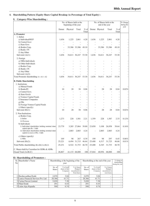# **4. Shareholding Pattern (Equity Share Capital Breakup As Percentage of Total Equity) :**

#### **I) Category-Wise Shareholding :**

|                                                                                      |        | No. of Shares held at the<br>beginning of the year |               |                 | No. of Shares held at the<br>end of the year |                |        | % Change<br>during the<br>year |       |
|--------------------------------------------------------------------------------------|--------|----------------------------------------------------|---------------|-----------------|----------------------------------------------|----------------|--------|--------------------------------|-------|
|                                                                                      | Demat  | Physical                                           | Total         | $%$ of<br>Total |                                              | Demat Physical | Total  | $%$ of<br>Total                |       |
| A. Promoter                                                                          |        |                                                    |               |                 |                                              |                |        |                                |       |
| 1. Indian                                                                            |        |                                                    |               |                 |                                              |                |        |                                |       |
| a) Individual/HUF                                                                    | 1,636  | 1,225                                              | 2,861         | 4.20            | 1,636                                        | 1,225          | 2,861  | 4.20                           |       |
| b) Central Govt                                                                      |        |                                                    |               |                 |                                              |                |        |                                |       |
| c) State Govt                                                                        |        |                                                    |               |                 |                                              |                |        |                                |       |
| d) Bodies Corp.                                                                      |        |                                                    | 33,386 33,386 | 49.10           |                                              | 33,386         | 33,386 | 49.10                          |       |
| e) Banks / FI                                                                        |        |                                                    |               |                 |                                              |                |        |                                |       |
| f) Any Other                                                                         |        |                                                    |               |                 |                                              |                |        |                                |       |
| Sub-total $(A)(1)$ :                                                                 | 1.636  |                                                    | 34,611 36,247 | 53.30           | 1,636                                        | 34,611         | 36,247 | 53.30                          |       |
| 2. Foreign                                                                           |        |                                                    |               |                 |                                              |                |        |                                |       |
| a) NRIs-Individuals                                                                  |        |                                                    |               |                 |                                              |                |        | L,                             |       |
| b) Other-Individuals                                                                 |        |                                                    |               |                 |                                              |                |        |                                |       |
| c) Bodies Corp.                                                                      |        |                                                    |               |                 |                                              |                |        |                                |       |
| d) Banks / FI                                                                        |        |                                                    |               |                 |                                              |                |        |                                |       |
| e) Any Other                                                                         |        |                                                    |               |                 |                                              |                |        |                                |       |
| Sub-total $(A)(2)$ :                                                                 |        |                                                    |               |                 |                                              |                |        |                                |       |
| Total Promoter shareholding $A = A1 + A2$                                            | 1.636  |                                                    | 34,611 36,247 | 53.30           | 1,636                                        | 34,611         | 36,247 | 53.30                          |       |
| <b>B. Public Shareholding</b>                                                        |        |                                                    |               |                 |                                              |                |        |                                |       |
| 1. Institutions                                                                      |        |                                                    |               |                 |                                              |                |        |                                |       |
| a) Mutual Funds                                                                      |        |                                                    |               |                 |                                              |                |        |                                |       |
| b) Banks/FI                                                                          | 10     | 28                                                 | 38            | 0.06            |                                              | 28             | 28     | 0.04                           | 0.02% |
| c) Central Govt.                                                                     |        | J.                                                 | L.            |                 |                                              |                | J.     |                                |       |
| d) State Govt/s                                                                      |        |                                                    | L.            |                 |                                              |                | J.     | L,                             |       |
| e) Venture Capital Funds                                                             |        |                                                    |               |                 |                                              |                |        |                                |       |
| f) Insurance Companies                                                               |        |                                                    |               | J.              |                                              |                |        |                                |       |
| $g$ ) FIIs                                                                           |        |                                                    |               |                 |                                              |                |        | ٠                              |       |
| h) Foreign Venture Capital Funds                                                     |        |                                                    |               |                 |                                              |                |        |                                |       |
| i) Others (specify)                                                                  |        |                                                    | L,            | J.              |                                              |                |        |                                |       |
| Sub-total $(B)(1)$ :                                                                 | 10     | 28                                                 | 38            | 0.06            |                                              | 28             | 28     | 0.04                           | 0.02% |
| 2. Non-Institutions                                                                  |        |                                                    |               |                 |                                              |                |        |                                |       |
| a) Bodies Corp.                                                                      |        |                                                    |               |                 |                                              |                |        |                                |       |
| i) Indian                                                                            | 1,273  | 228                                                | 1,501         | 2.21            | 1,359                                        | 228            | 1,587  | 2.33                           | 0.12% |
| ii) Overseas                                                                         |        |                                                    |               |                 |                                              |                |        |                                |       |
| b) Individuals                                                                       |        |                                                    |               |                 |                                              |                |        |                                |       |
| i) Individual shareholders holding nominal share<br>capital upto Rs. 1 lakh          | 23,779 |                                                    | 3,285 27,064  | 39.80           | 23,850                                       | 3,108          | 26,958 | 39.64                          | 0.16% |
| ii) Individual shareholders holding nominal share<br>capital in excess of Rs. 1 lakh | J.     | 2,883                                              | 2,883         | 4.24            |                                              | 2,883          | 2,883  | 4.24                           |       |
| c) Others (specify)                                                                  |        |                                                    |               |                 |                                              |                |        |                                |       |
| i) NRIs                                                                              | 169    | 98                                                 | 267           | 0.39            | 199                                          | 98             | 297    | 0.45                           | 0.06% |
| Sub-total $(B)(2)$ :                                                                 | 25,221 |                                                    | 6,494 31,715  | 46.64           | 25,408                                       | 6,317          | 31,725 | 46.66                          | 0.01% |
| Total Public shareholding $(B)=(B)(1)+(B)(2)$                                        | 25,231 |                                                    | 6,522 31,753  | 46.70           | 25,408                                       | 6,345          | 31,753 | 46.70                          |       |
| C. Shares held by Custodian for GDRs & ADRs                                          |        |                                                    |               |                 |                                              |                |        |                                |       |
| Grand Total (A+B+C)                                                                  | 26,867 |                                                    | 41,133 68,000 | 100             | 27,044                                       | 40,956         | 68,000 | 100                            |       |

# **II) Shareholding of Promoters :**

| Nol | Sr. Shareholder's Name               | Shareholding at the beginning of the<br>year |                                        |                                                           | Shareholding at the end of the year | $%$ change in<br>shareholding<br>during the year |                                                           |  |
|-----|--------------------------------------|----------------------------------------------|----------------------------------------|-----------------------------------------------------------|-------------------------------------|--------------------------------------------------|-----------------------------------------------------------|--|
|     |                                      | No. of<br><b>Shares</b>                      | % of total<br>shares of the<br>Company | % of shares<br>Pledged /<br>encumbered to<br>Total shares | No. of<br><b>Shares</b>             | % of total<br>shares of the<br>Company           | % of shares<br>Pledged /<br>encumbered to<br>total shares |  |
|     | Harshavardhan Doshi                  | 2.070                                        | 3.04                                   |                                                           | 2.070                               | 3.04                                             |                                                           |  |
|     | 2 Lanica Financial Services Pvt. Ltd | 28,366                                       | 41.71                                  |                                                           | 28.366                              | 41.71                                            |                                                           |  |
|     | 3 Carina Finvest Limited             | 5,020                                        | 7.38                                   |                                                           | 5,020                               | 7.38                                             |                                                           |  |
|     | 4 Nihal Doshi                        | 291                                          | 0.43                                   | ۰                                                         | 291                                 | 0.43                                             | ۰                                                         |  |
|     | 5 Lalan Ajay Kapadia                 | 500                                          | 0.74                                   | ۰                                                         | 500                                 | 0.74                                             |                                                           |  |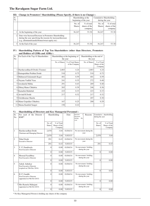| ---                   | Change in Fromotels Shareholding (Frase Specify) if there is no Change) :                                                                                                 |                         |                                              |                                            |                                          |  |  |
|-----------------------|---------------------------------------------------------------------------------------------------------------------------------------------------------------------------|-------------------------|----------------------------------------------|--------------------------------------------|------------------------------------------|--|--|
| Sr.<br>N <sub>o</sub> |                                                                                                                                                                           |                         | Shareholding at the<br>beginning of the year | Cumulative Shareholding<br>during the year |                                          |  |  |
|                       |                                                                                                                                                                           | No. of<br><b>Shares</b> | $\%$ of total<br>shares of the<br>company    | No. of<br><b>Shares</b>                    | $%$ of total<br>shares of the<br>company |  |  |
|                       | At the beginning of the year                                                                                                                                              | 36,247                  | 53.30                                        | 36.247                                     | 53.30                                    |  |  |
|                       | Date wise Increase/Decrease in Promoters Shareholding<br>during the year specifying the reasons for increase/decrease<br>(e.g. allotment/transfer/bonus/sweat equity etc) |                         |                                              |                                            |                                          |  |  |
|                       | At the End of the year                                                                                                                                                    | 36,247                  | 53.30                                        | 36,247                                     | 53.30                                    |  |  |

# **III) Change in Promoters' Shareholding (Please Specify, if there is no Change) :**

#### **IV) Shareholding Pattern of Top Ten Shareholders (other than Directors, Promoters and Holders of GDRs and ADRs) :**

| Sr.<br>N <sub>o</sub> | For Each of the Top 10 Shareholders |               | Shareholding at the beginning of<br>the year | Shareholding at the end of<br>the year |                                        |  |
|-----------------------|-------------------------------------|---------------|----------------------------------------------|----------------------------------------|----------------------------------------|--|
|                       |                                     | No. of Shares | % of Total Shares<br>of the Company          | No. of Shares                          | % of Total<br>Shares of the<br>Company |  |
|                       | 1 Harshavardhan B Doshi (Trustee)   | 2,883         | 4.24                                         | 2,883                                  | 4.24                                   |  |
|                       | 2 Ratnaprabhat Prabhat Doshi        | 510           | 0.75                                         | 510                                    | 0.75                                   |  |
|                       | 3 Mehmood Gulamnabi Kagzi           | 401           | 0.59                                         | 401                                    | 0.59                                   |  |
|                       | 4 Nayana Vadilal Vasa               | 241           | 0.35                                         | 272                                    | 0.40                                   |  |
|                       | 5 Jawaharlal Mehta                  | 291           | 0.43                                         | 269                                    | 0.40                                   |  |
|                       | 6 Dhiraj Manu Chhabria              | 265           | 0.39                                         | 246                                    | 0.36                                   |  |
| 7                     | Kamalini Bahubali                   | 223           | 0.33                                         | 223                                    | 0.33                                   |  |
|                       | 8 Arvind R Doshi                    | 217           | 0.32                                         | 217                                    | 0.32                                   |  |
|                       | 9 Girishkumar Sharda                |               |                                              | 207                                    | 0.30                                   |  |
|                       | 10 Manu Gopaldas Chhabria           | 167           | 0.25                                         | 200                                    | 0.29                                   |  |
|                       | 11 Meena Kantilal Sangoi            | 150           | 0.22                                         |                                        |                                        |  |

#### **V) Shareholding of Directors and Key Managerial Personnel :**

| Sr.<br>N <sub>o</sub>    | For each of the Director /<br>KMP*                                     |                         | Shareholding                           | Date     | Increase<br>Reasons<br>Decrease<br>during<br>the<br>year | during the year         | Cumulative shareholding                |
|--------------------------|------------------------------------------------------------------------|-------------------------|----------------------------------------|----------|----------------------------------------------------------|-------------------------|----------------------------------------|
|                          |                                                                        | No. of<br><b>Shares</b> | % of Total<br>Shares of the<br>Company |          |                                                          | No. of<br><b>Shares</b> | % of Total<br>Shares of the<br>Company |
| 1                        | Harshavardhan Doshi<br>Chairman and Managing Director                  | 2,070                   | 3.04                                   | 01/04/14 | No movement during the<br>year                           |                         |                                        |
|                          |                                                                        | 2,070                   | 3.04                                   | 31/03/15 |                                                          | 2.070                   | 3.04                                   |
| $\overline{2}$           | Nihal Doshi<br><b>Executive Director</b>                               | 291                     | 0.43                                   | 01/04/14 | No movement during the<br>year                           |                         |                                        |
|                          |                                                                        | 291                     | 0.43                                   | 31/03/15 |                                                          | 291                     | 0.43                                   |
| 3                        | Y. P. Dandiwala<br>Non Executive Director                              | $\Omega$                | 0.00                                   | 01/04/14 | No movement / holding<br>during the year                 |                         |                                        |
|                          |                                                                        | $\Omega$                | 0.00                                   | 31/03/15 |                                                          | $\Omega$                | 0.00                                   |
| $\overline{\mathcal{L}}$ | Moorad Fazalbhoy<br>Non Executive Director                             | $\Omega$                | 0.00                                   | 01/04/14 | No movement / holding<br>during the year                 |                         |                                        |
|                          |                                                                        | $\Omega$                | 0.00                                   | 31/03/15 |                                                          | $\Omega$                | 0.00                                   |
| 5                        | Ashok Ashtekar<br>Non Executive Director<br>(expired on 25th Dec 2014) | $\Omega$                | 0.00                                   | 01/04/14 | No movement / holding<br>during the year                 |                         |                                        |
|                          |                                                                        | $\Omega$                | 0.00                                   | 31/03/15 |                                                          | $\Omega$                | 0.00                                   |
| 6                        | H. P. Gandhi<br>Non Executive Director<br>(appointed on 9th Feb 2015)  | $\Omega$                | 0.00                                   | 01/04/14 | No movement / holding<br>during the year                 |                         |                                        |
|                          |                                                                        | $\Omega$                | 0.00                                   | 31/03/15 |                                                          | $\Omega$                | 0.00                                   |
|                          | 7 Mrs Ramola Mahajani<br>(appointed on 9th Feb 2015)                   | $\Omega$                | 0.00                                   | 01/04/14 | No movement / holding<br>during the year                 |                         |                                        |
|                          |                                                                        | $\Omega$                | 0.00                                   | 31/03/15 |                                                          | $\Omega$                | 0.00                                   |

\* No Key Managerial Person is holding any shares of the company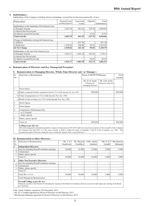#### **5. Indebtedness :**

Indebtedness of the Company including interest outstanding / accrued but not due for payment (Rs. in lacs)

| Particulars                                         | <b>Secured Loans</b><br>excluding deposits | Unsecured<br>Loans | Deposits | Total<br>Indebtedness |
|-----------------------------------------------------|--------------------------------------------|--------------------|----------|-----------------------|
| Indebtedness at the beginning of the financial year |                                            |                    |          |                       |
| i) Principal Amount                                 | 3,455.19                                   | 961.92             | 579.78   | 4,996.89              |
| ii) Interest due but not paid                       |                                            |                    |          |                       |
| iii) Interest accrued but not due                   |                                            |                    | 47.97    | 47.97                 |
| Total (i+ii+iii)                                    | 3,455.19                                   | 961.92             | 627.75   | 5,044.86              |
| Change in Indebtedness during the financial year    |                                            |                    |          |                       |
| i) Addition                                         |                                            | 831.26             |          | 831.26                |
| ii) Reduction                                       | 1,530.02                                   | 390.00             | 95.03    | 2,015.05              |
| iii) Net Change                                     | $-1,530.02$                                | 441.26             | $-95.03$ | $-1,183.79$           |
| Indebtedness at the end of the financial year       |                                            |                    |          |                       |
| i) Principal Amount                                 | 1.925.17                                   | 1.403.18           | 467.05   | 3,795.4               |
| ii) Interest due but not paid                       |                                            |                    |          |                       |
| iii) Interest accrued but not due                   |                                            |                    | 65.67    | 65.67                 |
| Total (i+ii+iii)                                    | 1,925.17                                   | 1,403.18           | 532.72   | 3,861.07              |

#### **6. Remuneration of Directors and Key Managerial Personnel :**

#### **I) Remuneration to Managing Director, Whole-Time Director and / or Manager :**

| Sr.<br>N <sub>0</sub> | Particulars of Remuneration                                                                                                                                                                                                                             | Name of MD/WTD/Manager                               |                                        | Total<br>Amount |
|-----------------------|---------------------------------------------------------------------------------------------------------------------------------------------------------------------------------------------------------------------------------------------------------|------------------------------------------------------|----------------------------------------|-----------------|
|                       |                                                                                                                                                                                                                                                         | Mr. H. B. Doshi<br>(Chairman &<br>Managing Director) | Mr. N.H. Doshi<br>(Executive Director) |                 |
| 1                     | <b>Gross Salary</b>                                                                                                                                                                                                                                     |                                                      |                                        |                 |
|                       | a) Salary as per provisions contained in Section $17(1)$ of the Income Tax Act, 1961                                                                                                                                                                    | 900,000                                              |                                        | 900,000         |
|                       | b) Value of perquisites $u/s$ 17(2) of the Income Tax Act, 1961                                                                                                                                                                                         |                                                      |                                        |                 |
|                       | c) Profits in lieu of salary $u/s$ 17(3) of the Income Tax Act, 1961                                                                                                                                                                                    |                                                      |                                        |                 |
| $\overline{2}$        | <b>Stock Option</b>                                                                                                                                                                                                                                     |                                                      |                                        |                 |
| 3                     | <b>Sweat Equity</b>                                                                                                                                                                                                                                     |                                                      |                                        |                 |
| $\overline{4}$        | Commission / Performance Pay                                                                                                                                                                                                                            |                                                      |                                        |                 |
|                       | - as % of profit                                                                                                                                                                                                                                        |                                                      |                                        |                 |
|                       | - others, specify                                                                                                                                                                                                                                       |                                                      |                                        |                 |
| 5                     | Others, please specify                                                                                                                                                                                                                                  |                                                      |                                        |                 |
|                       | Total (A)                                                                                                                                                                                                                                               | $900,000$ -                                          |                                        | 900,000         |
|                       | $C_{n}$ : $C_{n}$ . $C_{n}$ . $C_{n}$ . $C_{n}$ . $C_{n}$ . $C_{n}$ . $C_{n}$ . $C_{n}$ . $C_{n}$ . $C_{n}$ . $C_{n}$ . $C_{n}$ . $C_{n}$ . $C_{n}$ . $C_{n}$ . $C_{n}$ . $C_{n}$ . $C_{n}$ . $C_{n}$ . $C_{n}$ . $C_{n}$ . $C_{n}$ . $C_{n}$ . $C_{n}$ |                                                      |                                        |                 |

**Ceiling as per the Act** The total managerial remuneration payable in respect of financial year 2014-2015 shall not exceed eleven percent of the net profit of the Company for financial year 2014-2015 or if the same exceeds, it shall be within the limits of Schedule V Part II of the Companies Act, 2013. The remuneration paid to Directors during the year is within the statutory limit as specified above.

#### **II) Remuneration to other Directors :**

| Sr.            | Particulars of Remuneration                                                                                                                                                                                 | Mr. Y. P.      | Mr. Moorad | # Mr. Ashok | $*$ Mr. H. P. | * Mrs Ramola |
|----------------|-------------------------------------------------------------------------------------------------------------------------------------------------------------------------------------------------------------|----------------|------------|-------------|---------------|--------------|
| N <sub>o</sub> |                                                                                                                                                                                                             | Dandiwala      | Fazalbhov  | Ashtekar    | Gandhi        | Mahajani     |
|                | <b>Independent Directors</b>                                                                                                                                                                                |                |            |             |               |              |
| a              | Fees for attending Board/Committee meetings                                                                                                                                                                 | 18,000         | 16,000     | 14,000      | 2,000         | 2,000        |
| b              | Commission                                                                                                                                                                                                  | ۰              |            | ۰           |               |              |
| $\mathbf{c}$   | Others, please specify                                                                                                                                                                                      | ٠              |            | ۰           |               |              |
|                | Total(1)                                                                                                                                                                                                    | 18,000         | 16,000     | 14,000      | 2,000         | 2.000        |
| $\overline{2}$ | <b>Other Non-Executive Directors</b>                                                                                                                                                                        |                |            |             |               |              |
| a              | Fees for attending Board/Committee meetings                                                                                                                                                                 | ۰              |            | ۰           |               |              |
| <sub>b</sub>   | Commission                                                                                                                                                                                                  | ۰              |            | ۰           |               |              |
| $\mathbf{c}$   | Others, please specify                                                                                                                                                                                      | ۰              | ۰          | ۰           |               |              |
|                | Total $(2)$                                                                                                                                                                                                 | $\overline{a}$ |            | ٠           |               |              |
|                | Total $(B) = (1+2)$                                                                                                                                                                                         | 18,000         | 16,000     | 14,000      | 2,000         | 2.000        |
|                | <b>Total Managerial Remuneration</b>                                                                                                                                                                        |                |            |             |               |              |
|                | <b>Overall Ceiling as per the Act</b><br>Sitting fee payable to the Director for attending the meeting of the Board or Committee shall not exceed one lakh rupees per meeting of the Board<br>or Committee. |                |            |             |               |              |

# Mr. Ashok Ashtekar expired on 25th December 2014

\* Mr. H. P. Gandhi appointed by Board of Directors on 9th February 2015

\* Mrs Ramola Mahajani appointed by Board of Directors on 9th February 2015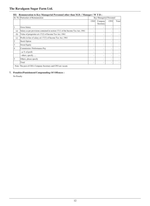| III) Remuneration to Key Managerial Personnel other than M.D. / Manager / W T D : |  |
|-----------------------------------------------------------------------------------|--|
|                                                                                   |  |

|                | Sr. No Particulars of Remuneration                                                | Key Managerial Personnel |                      |            |       |  |
|----------------|-----------------------------------------------------------------------------------|--------------------------|----------------------|------------|-------|--|
|                |                                                                                   | <b>CEO</b>               | Company<br>Secretary | <b>CFO</b> | Total |  |
| 1              | Gross Salary                                                                      | $\overline{\phantom{a}}$ | ۰                    | ٠          |       |  |
| (a)            | Salary as per provisions contained in section $17(1)$ of the Income Tax Act, 1961 | $\overline{\phantom{a}}$ |                      | ٠          |       |  |
| (b)            | Value of perquisites $u/s$ 17(2) of Income Tax Act, 1961                          | ٠                        | ۰                    |            |       |  |
| (c)            | Profits in lieu of salary u/s 17(3) of Income Tax Act, 1961                       | $\overline{\phantom{a}}$ |                      | ۰          |       |  |
| $\overline{2}$ | <b>Stock Option</b>                                                               | $\overline{\phantom{a}}$ | ٠                    |            |       |  |
| 3              | <b>Sweat Equity</b>                                                               | $\overline{\phantom{a}}$ |                      | ۰          |       |  |
| $\overline{4}$ | Commission / Performance Pay                                                      | $\overline{\phantom{a}}$ | ٠                    | ۰          |       |  |
|                | - as % of profit                                                                  | $\overline{\phantom{a}}$ |                      | ۰          |       |  |
|                | - others, specify                                                                 | $\overline{\phantom{a}}$ | ۰                    | ۰          |       |  |
| 5              | Others, please specify                                                            | $\overline{\phantom{a}}$ | ٠                    | ٠          |       |  |
|                | Total                                                                             | $\overline{\phantom{a}}$ | ٠                    |            |       |  |
|                | Note: The post of CEO, Company Secretary and CFO are vacant.                      |                          |                      |            |       |  |

# **7. Penalties/Punishment/Compounding Of Offences :**

No Penalty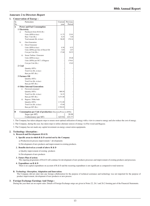#### **Annexure 2 to Directors Report**

#### **1. Conservation of Energy :**

| Sr.             | Particulars                                                         | Current       | Previous       |
|-----------------|---------------------------------------------------------------------|---------------|----------------|
| No              |                                                                     | year          | Period         |
| $\mathbf{A}$    | <b>Power and Fuel Consumption</b>                                   |               |                |
|                 | 1 Electricity                                                       |               |                |
| a)              | Purchased (from M.S.E.B.)                                           |               |                |
|                 | Units (KWh in lacs)                                                 | 11.75         | 23.01          |
|                 | Rate / Unit (Rs.)<br>Total amount (Rs. in lacs)                     | 8.25<br>96.89 | 7.40<br>170.16 |
|                 |                                                                     |               |                |
| b)              | Own Generation                                                      |               |                |
| i)              | Diesel Generator                                                    |               |                |
|                 | Units (KWh in lacs)                                                 | 0.38<br>3.65  | 0.33           |
|                 | Units (KWh) per litre of Diesel Oil<br>Cost per Unit (Rs.)          | 17.68         | 2.67<br>20.53  |
|                 |                                                                     |               |                |
| $\mathbf{ii}$ ) | Steam Turbine / Generator                                           |               |                |
|                 | Units (KWh in lacs)                                                 |               | 29.48          |
|                 | Units (KWh) per M.T. of Bagasse                                     |               | 179.61         |
|                 | Cost per Unit (Rs.)                                                 |               | 15.62          |
| 2 Coal          | Quantity (MTs)                                                      |               |                |
|                 | Total Cost (Rs. in lacs)                                            |               |                |
|                 | Rate per MT (Rs.)                                                   |               |                |
|                 | 3 Furnace Oil                                                       |               |                |
|                 | Quantity (MTs)                                                      |               |                |
|                 | Total Cost (Rs. in lacs)                                            |               |                |
|                 | Rate per MT (Rs.)                                                   |               |                |
|                 | <b>4 Other Internal Generation:</b>                                 |               |                |
| i)              | Firewood consumed                                                   |               |                |
|                 | Quantity (MTs)                                                      | 989.50        |                |
|                 | Total Cost (Rs. in lacs)                                            | 34.35         |                |
|                 | Rate per MT (Rs.)                                                   | 3,471.00      |                |
| $\mathbf{ii}$ ) | Bagasse / Maka buds                                                 |               |                |
|                 | Quantity (MTs)                                                      | 1,711.00      |                |
|                 | Total Cost (Rs. in lacs)                                            | 47.60         |                |
|                 | Rate per MT (Rs.)                                                   | 2,782.03      |                |
| B               | <b>Consumption per Unit of production</b> (Electricty/Power in KWh) |               |                |
|                 | Sugar (per MT)                                                      |               | 28.98          |
|                 | Confectionery (per MT)                                              | 625.92        | 433.77         |

1. The Company has taken adequate steps to ensure most optimal utilization of energy with a view to conserve energy and also reduce the cost of energy.

2. The Company, during the year, has taken steps to utilize alternate sources of energy viz-Fire wood and Bagasse.

3. The Company has not made any capital investment on energy conservation equipments.

#### **2. Technology Absorption :**

#### **A. Research and Development (R & D)**

#### **1. Specific areas in which R & D carried out by the Company**

- a) Production & process improvement / developments
- b) Development of new products and improvement in existing products.

#### **2. Benefits derived as a result of above R & D**

- a) Quality improvement of existing products
- b) Development of new products

#### **3. Future Plan of action:**

The ongoing programme of R & D will continue for development of new products processes and improvement of existing products and processes.

#### **4. Expenditure on R & D**

There is no capital expenditure on account of R & D and the recurring expenditure is not significant as compared to total turnover.

#### **B. Technology Absorption, Adaptation and Innovation:**

The Company did not enter into any foreign collaboration for the purpose of technical assistance and technology was not imported for the purpose of product improvement, development of new products or new process.

#### **3. Foreign Exchange Earnings And Outgo :**

During the year there are no export sales. Details of Foreign Exchange outgo are given in Notes 22, 26.1 and 26.2 forming part of the Financial Statements.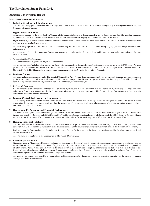#### **Annexure 3 to Directors Report**

#### **Management Discussion And Analysis**

#### **1. Industry Structure and Development :**

The Company is engaged in the manufacture of Sugar and various Confectionery Products. It has manufacturing facility at Ravalgaon (Maharashtra) and Corporate Office in Mumbai.

#### **2. Opportunities and Risks :**

There is good demand for the products of the Company. Efforts are made to improve its operating efficiency by taking various steps like installing balancing equipments, more efficient use of the available resources, etc. The products of the Company have been well accepted in the market.

Sugar Industry by nature is a seasonal industry, dependent on the sugarcane crop. Sugarcane needs good rainfall. This year the rainfall was not satisfactory resulting in lower availability of sugarcane.

More so the sugar prices have also been volatile and have been very unfavourable. These are not controlled by any single player due to large number of units in the country.

As regards confectionery, the competition from outside sources has been increasing. The competition and increase in costs, mainly material costs affect the sales and margins.

#### **3. Segment-Wise Performance :**

The Company has two segments viz. Sugar and Confectionery.

The segment-revenue (including other income) for Sugar (after excluding Inter Segment Revenue) for the period under review is Rs.2587.88 lakhs (Previous period of 18 months ended 31st March 2014 Rs. 765.40 lakhs) and that for Confectionery is Rs. 1591.21 lakhs (Previous period of 18 months ended 31st March 2014 Rs. 1711.32 lakhs). The segment-wise information is exhibited at Note No. 33 of Notes to Accounts.

#### **4. Business Outlook :**

The Sugar industry in India comes under The Essential Commodities Act, 1955 and therefore is regulated by the Government. Being an agro based industry, performance is largely dependent on weather and rain fall in the area of ope ration . However the prices of sugar have been very unfavourable. The sales of confectionery division was affected by various factors like competition, increase in costs, etc.

#### **5. Risks and Concerns :**

Uncertainties in Government policies and regulations governing sugar industry in India also continues to pose risk to the sugar industry. The sugarcane price to be paid to farmers by a manufacturer is also decided by the Government policy from time to time. The Company is therefore vulnerable to the changes in Government Policy and climatic conditions.

#### **6. Internal Control Systems and their Adequacy :**

The Company maintains adequate internal control systems and makes need based suitable changes therein to strengthen the same. The system provides among other things, reasonable assurance of recording the transactions of its operations in all material respects and of providing protection against significant misuse or loss of Company's assets.

#### **7. Operational Performance and Financial Performance :**

The Revenue from Operations (Net) (excluding Other Income) for the year ended 31st March 2015 was Rs. 3526.93 lakhs as against Rs. 3445.67 lakhs for the previous period of 18 months ended 31st March 2014. The Net Loss (before exceptional item of VRS expense of Rs. 584.63 lakhs) is Rs. 690.58 lakhs for the year ended 31st March 2015 as against a Net loss of Rs. 1524.18 lakhs for the previous period of 18 months ended 31st March 2014.

#### **8. Human / Industrial Relations :**

The Company believes that manpower is the most valuable resource for its growth. Industrial relations have been very cordial. The Company has recruited competent managerial personnel at various levels and personnel policies aim to ensure strengthening the involvement of all in the development of company.

During the year, the Company introduced a Voluntary Retirement Scheme for the workers at the factory. 102 workers opted for the scheme and were relieved on 30th September 2014.

The total number of employees of the Company as on 31st March 2015 was 203.

#### **9. Cautionary Statement :**

Statements made in Management Discussion and Analysis describing the Company's objectives, projections, estimates, expectations or predictions may be forward looking statements within the meaning of applicable security laws or regulations. These statement are based on certain assumptions and expectations of future events. Actual results could however differ materially from those expressed or implied. Important factors that could make a difference to the Company's operations include global and domestic demand-supply conditions, finished goods prices, raw material availability and costs thereof, change in Government regulations, tax structure, economic developments within India.

The company assumes no responsibility in respect of forward-looking statements, which may be amended or modified in future on the basis of subsequent developments, information or events.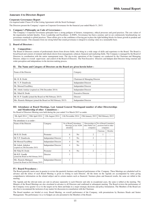#### **Annexure 4 to Directors Report**

#### **Corporate Governance Report**

(As required under Clause 49 of the Listing Agreement with the Stock Exchange)

The Directors present the Company's report on Corporate Governance for the financial year ended March 31, 2015.

#### **1. Company's Philosophy on Code of Governance :**

The Company's Corporate Governance principles have a strong pedigree of fairness, transparency, ethical processes and good practices. The core values of the organization include Quality, Trust, Leadership and Excellence. At RSFL, Governance has been a journey and we are continuously benchmarking our governance standards to global practices. These efforts give us the confidence of having put in place the right building blocks for future growth in prudent and sustained manner. This emanates from our strong belief that sound governance is integral to creating value on a sustainable basis.

#### **2. Board of Directors :**

#### **I) Composition :**

The Board of Directors consists of professionals drawn from diverse fields, who bring in a wide range of skills and experience to the Board. The Board is broad-based and consists of eminent individuals drawn from management, echnical, financial and marketing fields. The Company is managed by the Board of Directors in coordination with the senior management team. The day-to-day operations of the Company are conducted by the Chairman and Managing Director, subject to overall supervision and control of the Board of Directors. The Non-Executive Directors and Indepen dent Directors bring external and wider perception and independence in the decision making process.

| II) The Name and Category of Directors on the Board are given herein below: |  |  |  |
|-----------------------------------------------------------------------------|--|--|--|
|                                                                             |  |  |  |

| Name of the Director                                         | Category                     |
|--------------------------------------------------------------|------------------------------|
|                                                              |                              |
| Mr. H. B. Doshi                                              | Chairman & Managing Director |
| Mr. Y. P. Dandiwala                                          | <b>Independent Director</b>  |
| Mr. Moorad Fazalbhoy                                         | <b>Independent Director</b>  |
| Mr. Ashok Astekar (expired on 25th December 2014)            | <b>Independent Director</b>  |
| Mr. Nihal H. Doshi                                           | <b>Executive Director</b>    |
| Mr. H. P. Gandhi (joined the Board on 9th February 2015)     | Director                     |
| Mrs. Ramola Mahajani (joined the Board on 9th February 2015) | <b>Independent Director</b>  |

#### **III) Attendance at Board Meetings, Last Annual General Meetingand number of other Directorships and Membership of other Committees :**

9th April 2014 30th April 2014 12th August 2014 11th November 2014 19th January 2015 9th February 2015

Six Board of Directors Meeting were held during the year ended 31st March 2015 as under.

| The attendance is as under :                                    |                             |                                    |                      |                                                    |                                                               |        |
|-----------------------------------------------------------------|-----------------------------|------------------------------------|----------------------|----------------------------------------------------|---------------------------------------------------------------|--------|
| Name of the Director                                            | Category                    | No of Board Attendance<br>attended | Meetings at last AGM | Directorships in<br>other Public Ltd.<br>companies | No of Board Committee<br>positions held in other<br>companies |        |
|                                                                 |                             |                                    |                      |                                                    | Chairman                                                      | Member |
| Mr H. B. Doshi                                                  | Promoter                    | 6                                  | N <sub>o</sub>       | $\overline{2}$                                     |                                                               |        |
| Mr Y.P. Dandiwala                                               | <b>Independant Director</b> | 5                                  | No.                  | $\overline{2}$                                     |                                                               |        |
| Mr Moorad Fazalbhoy                                             | <b>Independant Director</b> | 4                                  | N <sub>0</sub>       |                                                    |                                                               |        |
| Mr Ashok Ashtekar<br>(expired on 25th December 2015)            | <b>Independant Director</b> | 4                                  | N <sub>0</sub>       |                                                    |                                                               |        |
| Mr Nihal H. Doshi                                               | Promoter                    | 6                                  | N <sub>0</sub>       | $\overline{c}$                                     |                                                               |        |
| Mr H.P. Gandhi<br>(joined the Board on 9th February 2015)       | Director                    |                                    |                      |                                                    |                                                               |        |
| Mrs. Ramola Mahajani<br>(joined the Board on 9th February 2015) | <b>Independant Director</b> |                                    |                      |                                                    |                                                               |        |

#### **IV) Board Procedures :**

The Board generally meets once in quarter to review the quarterly business and financial performance of the Company. These Meetings are scheduled well in advance and the notice of each Board Meeting is given in writing to each Director. All the items on the Agenda are accompanied by notes giving comprehensive information on the related subject and in certain matters such as financial / business plans and financial results, the same are tabled at the meeting.

The Agenda and the relevant notes are sent in advance separately to each Director and only in exceptional cases, the same is tabled at the meeting. The Minutes of the Board Meetings are also circulated in advance to all Directors and confirmed at subsequent meeting. The Board reviews the performance of the Company every quarter vis-a-vis the targets set by them and helps in a major strategic decisions and policy formulation. The Members of the Board are also free to recommend the inclusion of any matter for discussion in consultation with the Chairman.

The Board members are briefed at every Board Meeting, on overall performance of the Company, with presentations by Business Heads and Senior Management. The performance vis-a-vis budgets are also presented to the Members of the Board.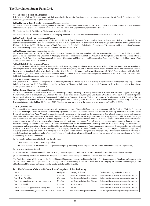#### **V) Profile of Board of Directors :**

Brief resume of all the Directors, nature of their expertise in the specific functional areas, memberships/chairmanships of Board Committees and their shareholding in the company is given hereunder :

#### **1. Mr. Harshavardhan B. Doshi** - Chairman & Managing Director

Mr. Harshavardhan B. Doshi is a science graduate from University of Mumbai. He is son of late Mr. Bharat Gulabchand Doshi, one of the founder members of the company. He joined the Board in 1984. He has been associated with Sugar Industry for over three decades.

Mr. Harshavardhan B. Doshi is also Chairman of Acrow India Limited.

Mr. Harshavardhan B. Doshi is the promoter of the company and holds 2070 shares of the company in his name as on 31st March 2015.

#### **2. Mr. Yazdi P. Dandiwala** - Independant Director

Mr. Yazdi P. Dandiwala is a senior partner of M/s Mulla & Mulla & Craigie Blunt & Caroe, a leading firm of Advocates and Solicitors in Mumbai. He has been in practice for over three decades and has vast experience in the legal field and in particular on matters relating to corporate laws, banking and taxation. He joined the Board in 1991. He is a member of Audit Committee, the Stakeholders Relationship Committee and Nomination and Remuneration Committee. He does not hold any share of the company in his name as on 31st March 2015.

#### **3. Mr. Moorad Fazalbhoy** - Independant Director

Mr. Moorad Fazalbhoy, is B.A (Hons) from York University, Toronto. He has been associated with the company since 1992. He has held several senior positions in his career including Chairman & Managing Director of Photophone Limited and Chairman of Photophone Comel Private Limited. He is a member of Audit Committee, the Stakeholders Relationship Committee and Nomination and Remuneration Committee. He does not hold any share of the company in his name as on 31st March 2015.

#### **4. Mr. Nihal H. Doshi** - Executive Director

Mr. Nihal H. Doshi joined the Board of Directors in 2008. Prior to joining Ravalgaon on an executive basis in 2011, Mr. Doshi was an Associate at Quadrangle Group, a private equity firm headquartered in New York, USA, focused on investments in media, communications and information services. Prior to joining Quadrangle Group, Mr. Doshi worked for Credit Suisse in the Mergers and Acquisitions group. Mr. Nihal Doshi graduated with a Bachelor of Science, Magna Cum Laude, inEeconomics from the Wharton School at the University of Pennsylvania. He is son of Mr. H. B. Doshi. Mr Nihal Doshi holds 291 shares of the company in his name as on 31st March 2015.

#### **5. Mr. H. P. Gandhi** - Director

Mr. Gandhi is a BE Mechanical and Diploma in Electrical Engineering and has an experience of over 46 years in various industries including Sugar Industry in India and Abroad. Mr. H. P. Gandhi is appointed by the Board of Directors in their meeting held on 9th February 2015. He does not hold any shares in the company in his name as on 31st March 2015

#### **6. Mrs Ramola Mahajani** - Independant Director

Mrs Ramola Mahajani has done Master of Arts in Applied Psychology, University of Bombay and Master of Science with Advanced Applied Psychology, University of Aston in Birmingham, UK. She is an Associate Fellow of the British Psychological Society and a Chartered Psychologist. Her areas of expertise include application of the principles of Occupational Psychology in Employee Selection, Training, Management Development and HR Planning. She has over 40 years of experience in Human Resources Development and is a Management Professional. Mrs Ramola Mahajani is appointed by the Board of Directors in their meeting held on 9th February 2015. She does not hold any shares in the company in her name as on 31st March 2015.

#### **3. Audit Committee :**

The composition, quorum, powers, role, review of information, scope, etc., of the Audit Committee is in accordance with the Section 179 of the Companies Act, 2013 and the provisions of Clause 49 of the Listing Agreement. The Audit Committee acts as a link between the Statutory and Internal Auditors and the Board of Directors. The Audit Committee inter-alia provides assurance to the Board on the adequancy of the internal control systems and financial disclosures. The Terms of Reference of the Audit Committee are as per the provisions and requirements of the Listing Agreements with the Stock Exchanges and in accordance with the Section 179 of the Companies Act, 2013. These broadly include approval of Annual Internal Audit Plan, review of financial reporting system, internal controls system, discussion on quartely, half-yearly and annual financial results, interaction with Statutory and Internal Auditors, In-camera meeting with Statutory and Internal Auditors, recommendation for the appointment of Statutory and Cost Auditors and fixing their remuneration, appointment and remuneration of Internal Auditors, Review of Business Risk Management Plan, Management Discussions & Analysis, Review of Internal Audit Reports, significant related party transactions. The Company has framed the Audit Committee Charter for the purpose of effective compliance of Clause 49 of the Listing Agreement. In fulfilling the above role, the Audit Committee has powers to investigate any activity within its terms of reference, to seek information from employees and to obtain outside legal and professional advice. Additionally, the following terms of reference were issued to the Audit committee by the Board of Directors:

(a) to consider and recommend to the Board the following:

- i) Investment guidelines for treasury operations;
- ii) Capital expenditure for enhancemen t of production capacity (excluding capital expenditure for normal maintenance / repairs / replacement).
- (b) to review the Annual Budget.
- (c) to take note of the significant decisions taken, or important developments considered at the various committee meetings and the Board meetings:

(d) to carry out any other duties that may be delegated to the Audit Committee by the Board of Directors from time-to-time.

The Audit Committee, while reviewing the Annual Financial Statements also reviewed the applicability of various Accounting Standards (AS) referred to in Section 129 & 133 of the Companies Act, 2013. Compliance of the Accounting Standards as applicable to the company has been ensured in the preparation of the Financial Statements for the period of 12 months ended 31st March 2015.

| Name                                                 | Designation | Category & Status                  | Qualification required to be a member                 |
|------------------------------------------------------|-------------|------------------------------------|-------------------------------------------------------|
| Mr. Y. P. Dandiwala                                  | Member      | Non-Executive Independent Director | He has requisite accounting and managerial expertise  |
| Mr. M. Y. Fazalbhoy                                  | Chairman    | Non-Executive Independent Director | He has requisite accounting and managerial expertise  |
| Mr. A. S. Ashtekar (expired on 25th December 2014)   | Member      | Non-Executive Independent Director | He has requisite accounting and managerial expertise  |
| Mr. Nihal Doshi                                      | Member      | <b>Executive Director</b>          | He has requisite accounting and managerial expertise  |
| Mr. H. P. Gandhi (appointed on 9th February 2015)    | Member      | Director                           | He has requisite accounting and managerial expertise  |
| Mrs Ramola Mahajani (appointed on 9th February 2015) | Member      | Non-Executive Independent Director | She has requisite accounting and managerial expertise |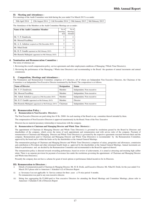#### **II) Meeting and Attendence :**

Five meetings of the Audit Committee were held during the year ended 31st March 2015 is as under:

30th April 2014 12th August 2014 11th November 2014 19th January 2015 9th February 2015

The Attendance of the Members at the Audit Committee Meetings are as under :

| Name of the Audit Committee Member                   | No.of<br>meetings<br>held | No.of<br>Meetings<br>Attended |
|------------------------------------------------------|---------------------------|-------------------------------|
| Mr. Y. P. Dandiwala                                  | 5                         |                               |
| Mr. Moorad Fazalbhoy                                 | 5                         |                               |
| Mr. A. S. Ashtekar (expired on 25th December 2015)   | 5                         |                               |
| Mr. Nihal Doshi                                      | 5                         |                               |
| Mr. H. P. Gandhi (apointed on 9th February 2015)     |                           |                               |
| Mrs Ramola Mahajani (appointed on 9th February 2015) |                           |                               |

#### **4. Nomination and Remuneration Committee :**

The terms of reference are :

- 1. Reviewing the overall compensation policy, service agreements and other employment conditions of Managing / Whole Time Director(s).
- 2. Reviewing the performance of the Managing / Whole time Director(s) and recommending to the Board the quantum of annual increments and annual commission.

#### **I) Composition, Meetings and Attendance :**

The Nomination and Remuneration Committee comprises of 4 directors, all of whom are Independent Non Executive Directors, the Chairman of the Committee is an Independent Non Executive Director nominated by the Board. The composition is as follows.

| <b>Name of Director</b>                              | <b>Designation</b> | <b>Status</b>              |
|------------------------------------------------------|--------------------|----------------------------|
| Mr. Y. P. Dandiwala                                  | Member             | Independent, Non executive |
| Mr. Moorad Fazalbhoy<br>Member                       |                    | Independent, Non executive |
| Mr. Ashok Ashtekar (expired on 25th December 2015)   | Member             | Independent, Non executive |
| Mr. H. P. Gandhi (appointed on 9th February 2015)    | Member             | Director                   |
| Mrs Ramola Mahajani (appointed on 9th February 2015) | Chairman           | Independent, Non executive |

#### **II) Remuneration Policy :**

#### **i) Remuneration to Non-Executive Directors :**

The Non Executive Directors are paid sitting fees @ Rs. 2000/- for each meeting of the Board or any committee thereof attended by them.

The compensation of Non Executive Directors is approved unanimously by the Board. None of the Non Executive

Directors has no material pecuniary relationship or transactions with the company.

#### **ii) Remuneration to Chairman and Managing Director and Whole Time Diretor(s) :**

The appointment of Chairman & Managing Director and Whole Time Director(s) is governed by resolutions passed by the Board by Directors and shareholders of the company, which covers the terms of such appointment and remuneration read with service rules of the company. Payment of remuneration to Chairman and Managing Director and Whole Time Director(s) is governed by the respective agreements executed between them and the company. Remuneration paid to Chairman and Managing Director and Whole Time Director(s) is recommended by the Remuneration Committee, approved by the board and is within the limits set by the shareholders at the Annual General Meetings.

The remuneration package of Chairman and Manging Director and Whole Time Director(s) comprises of salary, perquisites and allowances, commission and contribution to Provident and other retirement benefit funds as approved by the shareholders at the Annual General Meetings. Annual increments are linked to performance and are decided by the Remuneration Committee and recommended to the Board for approval thereof.

The remuneration policy is directed towards rewarding performance, based on review of achievements, it is aimed at attracting and retaining high caliber talent. There is no separate provision for payment of severance fees under the resolutions governing the appointment of Chairman and Managing Director and Whole time Director(s).

Presently the company does not have a scheme for grant of stock options or performance-linked incentives for its Directors.

#### **III) Remuneration to Directors :**

- i) Details of remuneration paid to Chairman & Manging Director, Mr. H. B. Doshi, and Executive Director, Mr. Nihal H. Doshi, for the year ended 31st March 2015 please refer to Annexture 1 Schedule 6 (I) of Directors Report
- ii) a) Severance f ees not applicable b) Service contract for three years c) N otice period 6 months. No remuneration was paid to any non-executive director.
- iii) Sitting fees aggregating Rs.52,000/-paid to Non executive Directors for attending the Board Meetings and Committee Meetings, please refer to Annexture 1 Schedule 6 (II) of Directors Report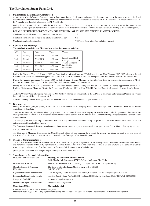#### **5. Stakeholders Relationship Committee :**

As a measure of good Corporate Governance and to focus on the investors' grievances and to expedite the transfer process in the physical segment, the Board has constituted a Stakeholders Relationship Committee, which comprises of three non-executive Directors Mr. Y. P. Dandiwala, Mr. Moorad Fazalbhoy, Mr. H. P. Gandhi, Mrs Ramola Mahajaniand and Mr Nihal Doshi.

During the year no complaint was received from Shareholders / Investors. The letters relating to dividend warrant, etc. were also attended to promptly. On periodical basis a report on share transfers and complaints were submitted to the Committee Members. No complaints were pending at the end of the period.

#### **DETAILS OF SHAREHOLDERS' COMPLAINTS RECEIVED, NOT SOLVED AND PENDING SHARE TRANSFERS.**

| Number of Shareholders complaints received during the year          | Nil |
|---------------------------------------------------------------------|-----|
| Number of complaints not solved to the satisfaction of shareholders | Nil |

Number of pending share transfer:  $Nil$  (Except those rejected on technical grounds)

#### **6. General Body Meetings :**

**The details of Annual General Meetings held in last five years are as follows:**

| <b>AGM</b>       | Day      | Date       | Time      | Venue                                      |
|------------------|----------|------------|-----------|--------------------------------------------|
| 75 <sub>th</sub> | Thursday | 29.09.2009 | 11.30 a.m |                                            |
| 76th             | Thursday | 30.09.2010 | 10.00 a.m | Krida Mandal Hall.<br>Ravalgaon $-423$ 108 |
| 77th             | Thursday | 29.09.2011 | 10.30 a.m | Taluka Malegaon,                           |
| 78th             | Thursday | 20.12.2012 | 10.30 a.m | Dist Nashik<br>Maharashtra                 |
| 79th             | Thursday | 19.06.2014 | 10.30 a.m |                                            |

During the Financial Year ended March 2006, an Extra Ordinary General Meeting (EOGM) was held on 28th February 2015 2005 wherein a Special Resolution was passed for approval of appointment of Mr. H. B. Doshi as CMD for a period of three years from 16th January 2005 to 15th January 2008.

During the Financial Year ended 31st March 2009, an Extra Ordinary General Meeting was held 21st April 2008 for extending the appointment of Mr. H. B. Doshi as CMD for further period of three years from 16th January 2008 to 15th January 2011.

During the Financial Year ended 31st March 2011, an Extra Ordinary General Meeting was held on 31st March 2011 for re- appointment of Mr. H. B. Doshi as Chairman and Managing Director for 3 years from 16th January 2011 and Mr. Nihal H. Doshi as Executive Director for 5 years from 1st January 2011.

An Extra Ordinary General Meeting was held on 10th April 2014 for re-appointment of Mr. H. B. Doshi as Chairman and Managing Director for 3 years from 16th January 2014 to 15th January 2017.

An Extra Ordinary General Meeting was held on 28th February 2015 for approval of related party transactions.

#### **7. Disclosures :**

During the last three years, no penalty or structures have been imposed on the company by the Stock Exchange / SEBI / Statutory Authorities an matters related to capital markets.

There are no materially significant related party transactions i.e. transactions of the Company of material nature, with its promoters, directors or the management, their subsidiaries or relatives etc. that may have potential conflict with the interests of the Company at large, except as reported elsewhere in the report / acounts.

The Company has not issued any GDRs/ADRs/Warrants or any convertible instrument during the period and there are no such instruments, which are outstanding as of the date of this Report.

The Compaany has complied with the mandatory requirements and has not adopted any non-mandatory requirement of Clause 49 of the Listing Agreements.

C E O/C F O Certification :

The Chairman & Managing Director and the Chief Financial Officer of your Company have issued the necessary certificate pursuant to the provisions of Clause 49 of the Listing Agreement and the same is attached and forms part of the Annual Report.

#### **8. Means of Communication :**

The approved financial results are forthwith sent to Listed Stock Exchange and are published in the leading national newspaper namely Free Press Journal and Navshakti (Marathi) within forty-eight hours of approved thereof. These results and other official releases are also available at the company's website www.ravalgaonindia.com and of the Bombay Stock Exchange Ltd., Mumbai at www.bseindia.com

(Management Discussions and Analysis Report forms part of this Annual Report.)

#### **9. Shareholder's General Information :**

| Date, Time and Venue of AGM              | : Monday, 7th September 2015at 4.00 P.M.<br>: Krida Mandal Hall, Ravalgaon-423108, Taluka : Malegaon, Dist. Nasik     |
|------------------------------------------|-----------------------------------------------------------------------------------------------------------------------|
| Dates of Book Closure                    | : Tuesday, 1st September 2015 to Monday, 7th September 2015 (both days inclusive)                                     |
| Stock Exchanges & Scrip code<br>ISIN NO. | : The Bombay Stock Exchange, Mumbai. Scrip code is 507300<br>$:$ INE 615 A01017                                       |
| Registered office and plant location     | : P. O. Ravalgaon, Taluka-Malegaon, Dist. Nasik, Ravalgaon-423 108. Tel.: (02554)270238 / 270274                      |
| Registered & Share transfer Agents:      | : Freedom Registry Ltd., Plot No. 101/102, 19th Street, MIDC Industrial Area, Satpur, Nasik-422007, Tel: (0253)235403 |
| Company's E-Mail ID                      | : accounts.factory@ravalgaon.in                                                                                       |
| Share transfer agent's Email address     | : support@freedomregistry.in                                                                                          |
| <b>Compliance Officer</b>                | : Mr. Snehal J Shah                                                                                                   |

Exclusive Email ID for redress of investor complaints :

In terms of clause 47(f) of the Listing Agreement following email address is exclusive for shareholders complaints : snehal.shah@ravalgaon.in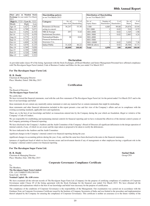# **80th Annual Report**

| Share<br>2015: | price on Mumbai Stock<br>Exchange for year ended 31st March |       | <b>Shareholding patter</b><br>as on 31st March 201 |
|----------------|-------------------------------------------------------------|-------|----------------------------------------------------|
|                | High Rs. 5725 / Low Rs. 3222                                |       | Category                                           |
| Month          | High                                                        | Low   |                                                    |
| Apr-14         | 4.427                                                       | 3,587 | Promoters & Persons                                |
| $May-14$       | 4,700                                                       | 3,671 | acting in concert                                  |
| $Jun-14$       | 5,454                                                       | 4,310 | NRI & Foreign                                      |
| $Jul-14$       | 5,275                                                       | 4,470 | <b>Institutional Investor</b>                      |
| Aug- $14$      | 4,775                                                       | 4,215 | Nationalised Banks,                                |
| $Sep-14$       | 5,725                                                       | 4,125 | <b>Financial Institutions</b>                      |
| $Oct-14$       | 4,899                                                       | 4,330 | Insurance Cos.                                     |
| $Nov-14$       | 4,670                                                       | 4,125 | <b>Indian Public</b>                               |
| $Dec-14$       | 4,369                                                       | 3,826 |                                                    |
| $Jan-15$       | 4,190                                                       | 3,880 |                                                    |
| $Feb-15$       | 4,320                                                       | 3,900 |                                                    |
| $Mar-15$       | 4,065                                                       | 3,222 |                                                    |

| Share price on Mumbai Stock<br>Exchange for year ended 31st March<br>2015: |       |       | <b>Shareholding pattern</b><br>as on 31st March 2015 |             |              |
|----------------------------------------------------------------------------|-------|-------|------------------------------------------------------|-------------|--------------|
| High Rs. 5725 / Low Rs. 3222                                               |       |       | Category                                             | No. of      | $%$ of       |
| Month                                                                      | High  | Low   |                                                      | shares held | Shareholding |
| Apr-14                                                                     | 4,427 | 3,587 | Promoters & Persons                                  | 36,247      | 53.30        |
| $May-14$                                                                   | 4,700 | 3,671 | acting in concert                                    |             |              |
| Jun-14                                                                     | 5,454 | 4,310 | NRI & Foreign                                        | 297         | 0.44         |
| Jul-14                                                                     | 5,275 | 4,470 | <b>Institutional Investors</b>                       |             |              |
| Aug-14                                                                     | 4,775 | 4,215 | Nationalised Banks.                                  | 28          | 0.04         |
| $Sep-14$                                                                   | 5,725 | 4,125 | Financial Institutions &                             |             |              |
| $Oct-14$                                                                   | 4,899 | 4,330 | Insurance Cos.                                       |             |              |
| $Nov-14$                                                                   | 4,670 | 4,125 | <b>Indian Public</b>                                 | 31,428      | 46.22        |
| $Dec-14$                                                                   | 4,369 | 3,826 |                                                      | 68,000      | 100.00       |

| <b>Exchange</b> for year ended 31st March<br>2015: |       | $\sim$<br>as on 31st March 2015 |                                |        |                          | $\sim$ 10 m in which is the common value of $\sim$<br>as on 31st March 2015 |                     |              |               |               |
|----------------------------------------------------|-------|---------------------------------|--------------------------------|--------|--------------------------|-----------------------------------------------------------------------------|---------------------|--------------|---------------|---------------|
| High Rs. 5725 / Low Rs. 3222                       |       |                                 | Category                       | No. of | $%$ of                   | No. of                                                                      | Number of           | $%$ of       | No. of        | $%$ of        |
| Month                                              | High  | Low                             |                                |        | shares held Shareholding | <b>Equity Shares</b>                                                        | <b>Shareholders</b> | Shareholders | <b>Shares</b> | <b>Shares</b> |
| Apr-14                                             | 4.427 | 3,587                           | Promoters & Persons            | 36.247 | 53.30                    | 1-500                                                                       | 4.085               | 99.88        | 29,876        | 43.94         |
| $May-14$                                           | 4.700 | 3,671                           | acting in concert              |        |                          | 501-1000                                                                    |                     | 0.02         | 510           | 0.75          |
| Jun-14                                             | 5.454 | 4.310                           | NRI & Foreign                  | 297    | 0.44                     | 1001-2000                                                                   |                     | 0.02         | 1.345         | 1.98          |
| Jul-14                                             | 5.275 | 4.470                           | <b>Institutional Investors</b> |        |                          | 2001-3000                                                                   |                     | 0.02         | 2.883         | 4.24          |
| Aug-14                                             | 4.775 | 4.215                           | Nationalised Banks.            | 28     | 0.04                     | 3001-4000                                                                   |                     |              |               |               |
| $Sep-14$                                           | 5.725 | 4,125                           | Financial Institutions &       |        |                          | 4001-5000                                                                   |                     |              |               |               |
| $Oct-14$                                           | 4.899 | 4,330                           | Insurance Cos.                 |        |                          | 5001-10000                                                                  |                     | 0.02         | 5.020         | 7.38          |
| $Nov-14$                                           | 4,670 | 4,125                           | <b>Indian Public</b>           | 31.428 | 46.22                    | $10001\&$ above                                                             |                     | 0.02         | 28,366        | 41.71         |
| $Dec-14$                                           | 4.369 | 3,826                           |                                | 68,000 | 100.00                   | <b>Total</b>                                                                | 4.090               | 100          | 68,000        | 100.00        |

**Distribution of Shareholding**

#### **Declaration**

As provided under clause 49 of the listing Agreement with the Stock Exchanges, all Board Members and Senior Management Personnel have affirmed compliance with The Ravalgaon Sugar Farm Limited, Code of Business Conduct and Ethics for the year ended 31st March 2015

#### **For The Ravalagon Sugar Farm Ltd.**

#### **H. B. Doshi**

Chairman & Managing Director Place: Mumbai, Dated: 28th May 2015

#### **Certification**

#### To, The Board of Directors **The Ravalgaon Sugar Farm Ltd.**

We certify that:

We have reviewed the financial statements, read with the cash flow statement of The Ravalgaon Sugar Farm Ltd. for the period ended 31st March 2015 and to the best of our knowledge and belief:

these statements do not contain any materially untrue statement or omit any material fact or contain statements that might be misleading;

these statements and other financial information included in this report present a true and fair view of the Company's affairs and are in compliance with the existing accounting standards, applicable laws and regulations.

There are, to the best of our knowledge and belief, no transactions entered into by the Company during the year which are fraudulent, illegal or violative of the Company's Code of Conduct;

We are responsible for establishing and maintaining internal controls for financial reporting and we have evaluated the effectives of the internal control systems of the Company pertaining of financial reporting;

We have disclosed to the Company's Auditors and the Audit Committee of the Company's Board of Directors all significant deficiencies in the design operation of internal controls, if any, of which we are aware and the steps taken or proposed to be taken to rectify the deficiencies.

We have indicated to the Auditors and the Audit Committee:

significant changes in the Company's internal control over financial reporting during the year.

significant changes in accounting policies during the year, if any, and that the same have been disclosed in the notes to the financial statements.

instances of significant fraud of which we have become aware and involvement therein if any of management or other employees having a significant role in the Company's internal control system over financial reporting.

#### **For The Ravalagon Sugar Farm Ltd.**

**H. B. Doshi Snehal Shah** Chairman & Managing Director Group CFO Place: Mumbai, Date: 28th May 2015

To, The Members, **The Ravalgaon Sugar Farm Limited** CIN : L01110MH1933PLC001930 Scrip Code : 507300 **Nominal Capital : Rs. 6.00 crores**

We have examined all the relevant records of The Ravalgaon Sugar Farm Ltd. (Company) for the purpose of certifying compliance of conditions of Corporate Governance under Clause 49 of the listing agreement with the Stock Exchange for the financial year ended 31st March 2015. We have obtained all the information and explanations which to the best of our knowledge and belief were necessary for the purpose of certification.

**Corporate Governance Compliance Certificate**

The compliance of the conditions of Corporate Governance is the responsibility of the Management. Our examination was carried out in accordance with the Guidance Note on Corporate Governance Certificate issued by the Institute of Company Secretaries of India and was limited to the procedure and implementation thereof adopted by the Company for ensuring the compliance of Corporate Governance. This certificate is neither an assurance as to the future viability of the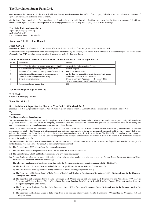company nor of the efficacy or effectiveness with which the Management has conducted the affairs of the company. It is also neither an audit nor an expression of opinion on the financial statements of the Company.

On the basis of our examination of the records produced and explanations and information furnished, we certify that the Company has compiled with the conditions of Corporate Governance as stipulated in the listing agreement entered into by the Company with the Stock Exchange.

#### **For Bipin Raje And Associates**

Bipin Raje, Company Secretary ACS 6092/CP 6147 Place : Mumbai, Dated : 28th May 2015

## **Annexure 5 to Directors Report**

#### **Form A.O.C 2 :**

[Pursuant to Clause (h) of sub-section (3) of Section 134 of the Act and Rule 8(2) of the Companies (Accounts) Rules, 2014]

Form for disclosure of particulars of contracts / arrangements entered into by the company with related parties referred to in sub-section (1) of Section 188 of the Companies Act, 2013 including certain arms length transactions under third proviso thereto

#### **Details of Material Contracts or Arrangement or Transactions at Arm's Length Basis :**

| Sr. No | Particulars                                                                                   | Details                                                                                           |
|--------|-----------------------------------------------------------------------------------------------|---------------------------------------------------------------------------------------------------|
|        | Name(s) of the related party and nature of relationship                                       | Acrow India Ltd - Associate Company                                                               |
|        | Nature of contracts / arrangements / transactions                                             | Sale of Property                                                                                  |
|        | Duration of the contracts / arrangements / transactions                                       | One Time Transaction                                                                              |
|        | Salient terms of the contracts or arrangements or<br>transactions including the value, if any | At the then prevailing Real Estate Prices in the Market.<br>value of transaction is Rs. 200 lakhs |
|        | Date of approvals, if any                                                                     | Board of Diretcors Approval – 15th January 2015<br>Shareholders Approval - 20th February 2015     |
| 16     | Amount paid as advances, if any                                                               | Nil                                                                                               |

#### **For The Ravalgaon Sugar Farm Ltd**

#### **H. B. Doshi**

Chairman & Managing Director

### **Form No. M R - 3**

#### **Secretarial Audit Report for the Financial Year Ended 31St March 2015**

[Pursuant to section 204(1) of the Companies Act, 2013 and rule No.9 of the Companies (Appointment and Remuneration Personnel) Rules, 2014]

To, The Members,

#### **The Ravalgaon Sugar Farm Limited**

We have conducted the secretarial audit of the compliance of applicable statutory provisions and the adherence to good corporate practices by M/s Ravalgaon Sugar Farm Limited. (hereinafter called the company). Secretarial Audit was conducted in a manner that provided us a reasonable basis for evaluating the corporate conducts/statutory compliances and expressing our opinion thereon.

Based on our verification of the Company's books, papers, minute books, forms and returns filed and other records maintained by the company and also the information provided by the Company, its officers, agents and authorized representatives during the conduct of secretarial audit, we hereby report that in our opinion, the company has, during the audit period (financial year commencing 01st April 2014 and ending on 31st March 2015) complied with the statutory provisions listed hereunder and also that the Company has proper Board-processes and compliance-mechanism in place to the extent, in the manner and subject to the reporting made hereinafter:

We have examined the books, papers, minute books, forms and returns filed and other records maintained by Ravalgaon Sugar Farm Limited ("the Company") for the financial year ended on 31st March 2015 according to the provisions of:

- i) The Companies Act, 2013 (the Act) and the rules made thereunder;
- ii) The Securities Contracts (Regulation) Act, 1956 ('SCRA') and the rules made thereunder;
- iii) The Depositories Act, 1996 and the Regulations and Bye-laws framed thereunder;
- iv) Foreign Exchange Management Act, 1999 and the rules and regulations made thereunder to the extent of Foreign Direct Investment, Overseas Direct Investment and External Commercial Borrowings;
- v) The following Regulations and Guidelines prescribed under the Securities and Exchange Board of India Act, 1992 ('SEBI Act'):
	- a) The Securities and Exchange Board of India (Substantial Acquisition of Shares and Takeovers) Regulations, 2011;
	- b) The Securities and Exchange Board of India (Prohibition of Insider Trading) Regulations, 1992;
	- c) The Securities and Exchange Board of India (Issue of Capital and Disclosure Requirements) Regulations, 2009; **Not applicable to the Company during the audit period.**
	- d) The Securities and Exchange Board of India (Employee Stock Option Scheme and Employee Stock Purchase Scheme) Guidelines, 1999 and The Securities and Exchange Board of India (Share Based Employee Benefits) Regulations 2014 notified on 28th October 2014. **Not applicable to the Company during the audit period.**
	- e) The Securities and Exchange Board of India (Issue and Listing of Debt Securities) Regulations, 2008; **Not applicable to the Company during the audit period.**
	- f) The Securities and Exchange Board of India (Registrars to an issue and Share Transfer Agents) Regulations 1993 regarding the Companies Act and dealing with client.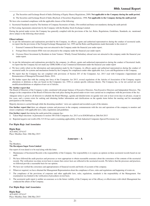- g) The Securities and Exchange Board of India (Delisting of Equity Shares) Regulations, 2009; **Not applicable to the Company during the audit period.**
- h) The Securities and Exchange Board of India (Buyback of Securities) Regulations, 1998; **Not applicable to the Company during the audit period**

We have also examined compliance with the applicable clauses of the following:

i) Secretarial Standards issued by The Institute of Company Secretaries of India. (Not notified and hence not mandatory during the audit period)

ii) The Listing Agreements entered into by the Company with the Bombay Stock Exchange Limited.

During the period under review the Company has generally complied with the provisions of the Act, Rules, Regulations, Guidelines, Standards, etc. mentioned above subject to the following observations:

#### **Observations:**

- a) As per the information and explanations provided by the Company, its officers, agents and authorised representatives during the conduct of secretarial audit, we report that the provisions of the Foreign Exchange Management Act, 1999 and the Rules and Regulations made thereunder to the extent of :
	- External Commercial Borrowings were not attracted to the Company under the financial year under report;
	- ii Foreign Direct Investment (FDI) were not attracted to the company under the financial year under report;
	- iii Overseas Direct Investment by Residents in Joint Venture / Wholly Owned Subsidiary abroad were not attracted to the company under the financial year under report.
- b) As per the information and explanations provided by the company, its officers, agents and authorised representatives during the conduct of Secretarial Audit, we report that the Company has not made any GDRs/ADRs or any Commercial Instrument under the financial year under report
- c) We have solely relied on the information and representation made by the Company, its officers agents and authorised representatives during the conduct of secretarial audit, for systems and mechanism formed by the Company for compliances under other applicable Acts, Laws and Regulations to the Company.
- d) We report that the Company has not complied with provisions of Section 203 of the Companies Act, 2013 read with Companies (Appointment and Remuneration of Managerial Personnel) Rules, 2014.
- e) We further report that with the coming into force of the Companies Act 2013, several regulations of the Articles of Association of the Company require alterations or deletions as they are based on the Companies Act, 1956 or contain specific reference thereto. The Company has, so far not carried out such modifications/deletions or adoption of new set of Articles.

#### **We further report that**

The Board of Directors of the Company is duly constituted with proper balance of Executive Directors, Non-Executive Directors and Independent Directors. The changes in the composition of the Board of Directors that took place during the period under review were carried out in compliance with the provisions of the Act.

Adequate notice is given to all directors to schedule the Board Meetings, agenda and detailed notes on agenda were sent at least seven days in advance, except in few cases, and a system exists for seeking and obtaining further information and clarifications on the agenda items before the meeting and for meaningful participation at the meeting.

Majority decision is carried through while the dissenting members' views are captured and recorded as part of the minutes.

**I/we further report that** there are adequate systems and processes in the company commensurate with the size and operations of the company to monitor and ensure compliance with applicable laws, rules, regulations and guidelines.

**I/we further report** that during the audit period the company has :

- i) Taken Major decisions in pursuance to section 180 of the Companies Act, 2013 at its EOGM held on 28th Feb 2015
- ii) Reported negative net worth of Rs 315.92 lacs and is examining applicability of Sick Industrial Companies Special Provisions) Act

#### **For Bipin Raje And Associates**

**Bipin Raje** ACS 6092, CP 6147 Place: Mumbai, Date: 28th May 2015

#### **Annexure - A**

To, The Members,

#### **The Ravalgaon Sugar Farm Limited**

Our report of even dated is to be read along with this letter.

- 1 Maintenance of Secretarial Records is the responsibility of the Company. Our responsibility is to express an opinion on these secretarial records based on our audit.
- 2 We have followed the audit practices and processes as were appropriate to obtain reasonable assurance about the correctness of the contents of the secretarial records. The verification was done on test basis to ensure that correct facts are reflected in the secretarial records. We believe that the processes and practices, we followed provide a reasonable basis for our opinion.
- 3 We have not verified the correctness and appropriateness of financial records and books of accounts of the company.
- 4 Wherever required, we have obtained the Management Representation about the compliance of laws, rules and regulations and happening of events etc.
- 5 The compliance of the provisions of corporate and other applicable laws, rules, regulations, standards is the responsibility of the Management. Our examination was limited to the verification of procedures on test basis.
- 6 The secretarial audit report is neither an assurance as to the future viability of the Company nor of the efficacy or effectiveness with which Management has conducted the affairs of the Company.

#### **For Bipin Raje And Associates**

**Bipin Raje** ACS 6092, CP 6147 Place: Mumbai, Date: 28th May 2015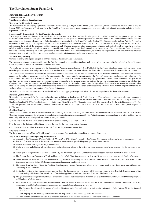# **Independent Auditor's Report**

To the Members of

**The Ravalgaon Sugar Farm Limited,**

#### **Report on the Financial Statements**

We have audited the accompanying financial statements of The Ravalgaon Sugar Farm Limited ("the Company"), which comprise the Balance Sheet as at 31st March, 2015, the Statement of Profit and Loss, the Cash Flow Statement for the year then ended, and a summary of the significant accounting policies and other explanatory information.

#### **Management's Responsibility for the Financial Statements**

The Company's Board of Directors is responsible for the matters stated in Section 134(5) of the Companies Act, 2013 ("the Act") with respect to the preparation of these financial statements that give a true and fair view of the financial position, financial performance and cash flows of the Company in accordance with the accounting principles generally accepted in India, including the Accounting Standards specified under Section 133 of the Act, read with Rule 7 of the Companies (Accounts) Rules, 2014. This responsibility also includes maintenance of adequate accounting records in accordance with the provisions of the Act for safeguarding the assets of the Company and for preventing and detecting frauds and other irregularities; selection and application of appropriate accounting policies; making judgments and estimates that are reasonable and prudent; and design, implementation and maintenance of adequate internal financial controls, that were operating effectively for ensuring the accuracy and completeness of the accounting records, relevant to the preparation and presentation of the financial statements that give a true and fair view and are free from material misstatement, whether due to fraud or error.

#### **Auditors Responsibility**

Our responsibility is to express an opinion on these financial statements based on our audit.

We have taken into account the provisions of the Act, the accounting and auditing standards and matters which are required to be included in the audit report under the provisions of the Act and the Rules made there under.

We conducted our audit in accordance with the Standards on Auditing specified under Section 143(10) of the Act. Those Standards require that we comply with ethical requirements and plan and perform the audit to obtain reasonable assurance about whether the financial statements are free from material misstatement.

An audit involves performing procedures to obtain audit evidence about the amounts and the disclosures in the financial statements. The procedures selected depend on the auditor's judgment, including the assessment of the risks of material misstatement of the financial statements, whether due to fraud or error. In making those risk assessments, the auditor considers internal financial control relevant to the Company's preparation of the financial statements that give a true and fair view in order to design audit procedures that are appropriate in the circumstances, but not for the purpose of expressing an opinion on whether the Company has in place an adequate internal financial controls system over financial reporting and the operating effectiveness of such controls. An audit also includes evaluating the appropriateness of the accounting policies used and the reasonableness of the accounting estimates made by the Company's Directors, as well as evaluating the overall presentation of the financial statements.

We believe that the audit evidence we have obtained is sufficient and appropriate to provide a basis for our audit opinion on the financial statements.

#### **Basis for Qualified Opinion**

No provision has been made for the present value of the accrued Gratuity liability (net of funds lying with LIC of India) and valued actuarially by a independent actuary as at March 31, 2015 amounting to Rs. 319.33 Lacs (previous year Rs 540.53 lacs) which constitutes a departure from the Accounting Standards on Employee Benefits (AS-15) referred to in section 133 of the Act (Refer Note no.32 of financial statements). Therefore the loss for the period is under stated by Rs. 17.89 lacs (previous year Rs 73.20 lacs) and the Reserves and Surplus of the company as at March 31, 2015 are higher by Rs. 319.33 lacs (previous year Rs 540.53 lacs).

#### **Qualified Opinion**

 In our opinion and to the best of our information and according to the explanations given to us, except for the effects of the matter described in the Basis for Qualified Opinion paragraph, the aforesaid financial statements give the information required by the Act in the manner so required and give a true and fair view in conformity with the accounting principles generally accepted in India:

a) in the case of the Balance Sheet, of the state of affairs of the Company as at March 31, 2015;

b) in the case of the Statement of Profit and Loss, of the Loss for the year ended on that date; and

c) in the case of the Cash Flow Statement, of the cash flows for the year ended on that date.

#### **Emphasis on Matter**

We draw your attention to Note no.36 with regard to going concern. Our opinion is not modified in respect of this matter.

#### **Report on other Legal and Regulatory Requirements**

- 1 As required by the Companies (Auditor's Report) Order, 2015 ("the Order") issued by the Central Government of India in terms of sub-section (11) of section 143 of the Act, we give in the Annexure a statement on the matters specified in paragraphs 3 and 4 of the Order.
- As required by Section 143 (3) of the Act, we report that:
	- b) We have sought and obtained all the information and explanations which to the best of our knowledge and belief were necessary for the purposes of our audit.
	- c) In our opinion, proper books of account as required by law have been kept by the Company so far as it appears from our examination of those books.
	- d) The Balance Sheet, the Statement of Profit and Loss, and the Cash Flow Statement dealt with by this Report are in agreement with the books of account.
	- e) In our opinion, the aforesaid financial statements comply with the Accounting Standards specified under Section 133 of the Act, read with Rule 7 of the Companies (Accounts) Rules, 2014 except as mentioned in para on Qualified Opinion.
	- f) The matter described in the Basis for Qualified Opinion paragraph and Emphasis of Matter above, in our opinion, may have an adverse effect on the functioning of the Company.
	- g) On the basis of the written representations received from the directors as on 31st March, 2015 taken on record by the Board of Directors, none of the directors is disqualified as on 31st March, 2015 from being appointed as a director in terms of Section 164 (2) of the Act.
	- h) The qualification relating to the maintenance of accounts and other matters connected therewith are as stated in the Basis for Qualified Opinion paragraph and Emphasis of Matter above.
	- i) With respect to the other matters to be included in the Auditor's Report in accordance with Rule 11 of the Companies (Audit and Auditors) Rules, 2014, in our opinion and to the best of our information and according to the explanations given to us:
		- i. The Company has disclosed the impact of pending litigations on its financial position in its financial statements Refer Note no.27 to the financial statements;
		- ii. The Company did not have any foreseeable losses on long-term contracts including derivative contracts.
		- iii. There were no amounts which were required to be transferred to the Investor Education and Protection Fund by the Company.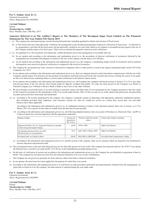#### **For V. Sankar Aiyar & Co** Chartered Accountants (Firm's Registration No.109208W)

**(Arvind Mohan)**

Partner **Membership No. 124082** Place: Mumbai, Date: 28th May, 2015

#### **Annexure Referred to in The Auditor's Report to The Members of The Ravalgaon Sugar Farm Limited on The Financial Statements for The Year Ended 31St March 2015**

i. (a) The company has maintained proper records showing full particulars including quantitative details and situation of Fixed Assets.

- (b) As The fixed assets have been physically verified by the management as per the phased programme of physical verification of fixed assets. As informed to us, programme is such that all the fixed assets will get physically verified in two years time which in our opinion is reasonable having regard to the size of the Company and the nature of its fixed assets. There were no material discrepancies noticed on such verification.
- ii. (a) As explained to us, the inventories were physically verified during the year by the management at reasonable intervals.
	- (b) In our opinion and according to the information and explanations given to us, the procedures of physical verification of inventories followed by the management are reasonable and adequate in relation to the size of the company and the nature of its business.
	- (c) In our opinion and according to the information and explanations given to us, the company is maintaining proper records of inventories and no material discrepancies were noticed on physical verification as compared to the record of inventories.
- iii. The company has not granted any loans, secured or unsecured to companies, firms or other parties covered in the register maintained under section 189 of the Companies Act, 2013.
- iv. In our opinion and according to the information and explanations given to us, there are adequate internal control procedures commensurate with the size of the Company and the nature of its business for the purchase of inventories and fixed assets and for the sale of goods and services. During the course of our audit, we have not observed any continuing failure to correct major weaknesses in the internal control system.
- In our opinion and according to the information and explanations given to us, the Company has complied with the provisions of Section 73 to 76 or any other relevant provisions of the Act and the rules framed under for deposits accepted from public. No order has been passed by the Company Law Board or National Company Law Tribunal or Reserve Bank of India or any Court or any other Tribunal.
- vi. We have broadly reviewed the books of account relating to materials, labour and other items of cost maintained by the Company pursuant to the rules made by the Central Government for the maintenance of the Cost records under Section 148(1) of the Act and we are of the opinion that prima-facie, the prescribed accounts and records have been made and maintained.
- vii. (a) According to the records maintained by the company, the company is generally regular in depositing with appropriate authorities undisputed statutory dues including provident fund, employees' state insurance, income tax, sales tax, wealth tax, service tax, custom duty, excise duty, cess and other statutory dues where applicable.

According to the information and explanations given to us, no undisputed amounts in respect of the aforesaid statutory dues were in arrears, as at 31st March, 2015, for a period of more than six months from the date they became payable.

(b) According to the information and explanations given to us, the following disputed statutory dues on account of Purchase tax, Electricity Duty and PF on Contract Labour have not been deposited with the appropriate authorities:

| Nature of dues                                                                                     | Amount not<br>deposited in<br>(Rs. In lacs) | Period to which the amount<br>relates | Forum where dispute is pending      |
|----------------------------------------------------------------------------------------------------|---------------------------------------------|---------------------------------------|-------------------------------------|
| Sugarcane Purchase Tax Act. Sugarcane Purchase tax payable<br>on harvesting and transport charges. | 60.90                                       | 1995 to 1999.                         | High Court Mumbai                   |
| The Bombay Electricity Duty Act, 1958.<br>Electricity duty on own generation.                      | 76.33                                       | April, 2005 to March, 2009            | High Court Mumbai                   |
| Provident Fund on Contract Labour                                                                  | 140.00                                      | 2001-2002 to 2008-2009                | Provident Fund Commissioner, Nashik |

- (c) According to the information and explanations given to us and the records of the company, there are no amounts which are required to be transferred to investor education and protection fund.
- vii. The accumulated losses at the end of the financial year are less than fifty percent of its net worth. The company has incurred cash loss Rs 1070.77 lacs during the financial year covered by our audit and Rs 1214.96 lacs in the immediately preceding financial year.
- ix. On the basis of verification of records and according to the information and explanations given to us, the Company has not defaulted in repayment of dues to Banks. The company has not taken any loan from any financial institution or by way of issue of debentures.
- x. The Company has not given any guarantee for loans taken by others from bank or financial institution.
- xi. In our opinion, the term loans have been applied for the purpose for which they were raised.
- xii. According to the information and explanations given to us and based on audit procedures performed and representations obtained from the management, we report that no fraud on or by the company, has been noticed or reported during the year under audit.

**For V. Sankar Aiyar & Co** Chartered Accountants (Firm's Registration No.109208W)

**(Arvind Mohan)** Partner **Membership No. 124082** Place: Mumbai, Date: 28th May, 2015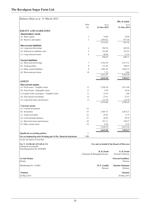| Balance Sheet as at 31-March-2015                                          |                |                              |                                             |
|----------------------------------------------------------------------------|----------------|------------------------------|---------------------------------------------|
|                                                                            |                |                              | (Rs. in Lacs)                               |
|                                                                            | Note           | As at                        | As at                                       |
|                                                                            | No.            | 31-Mar-2015                  | 31-Mar-2014                                 |
| <b>EQUITY AND LIABILITIES</b>                                              |                |                              |                                             |
| Shareholders' funds                                                        |                |                              |                                             |
| (a) Share capital                                                          | $\mathfrak{2}$ | 34.00                        | 34.00                                       |
| (b) Reserves and surplus                                                   | 3              | (349.92)                     | 957.56                                      |
|                                                                            |                | (315.92)                     | 991.56                                      |
| <b>Non-current liabilities</b>                                             |                |                              |                                             |
| (a) Long-term borrowings                                                   | $\overline{4}$ | 594.76                       | 483.94                                      |
| (b) Deferred tax liabilities (net)                                         | 5              | 323.80                       | 351.03                                      |
| (c) Long-term provisions                                                   | 6              | 28.09                        | 13.74                                       |
|                                                                            |                | 946.65                       | 848.71                                      |
| <b>Current liabilities</b>                                                 |                |                              |                                             |
| (a) Short-term borrowings                                                  | 7              | 2,762.39                     | 2,471.31                                    |
| (b) Trade payables                                                         | 8              | 151.85                       | 198.91                                      |
| (c) Other current liabilities                                              | 9              | 1,091.28                     | 2,883.52                                    |
| (d) Short-term provisions                                                  | 10             | 7.15<br>4,012.67             | 9.66<br>5,563.40                            |
|                                                                            |                |                              |                                             |
|                                                                            |                | 4,643.40                     | 7,403.67                                    |
| <b>ASSETS</b>                                                              |                |                              |                                             |
| <b>Non-current assets</b>                                                  | 11             | 2,294.28                     | 2,611.88                                    |
| (a) Fixed assets - Tangible Assets<br>(b) Fixed Assets - Intangeble Assets | 11             | 6.70                         | 10.44                                       |
| (c) Capital works in progress - Tangible Assets                            | 11             | 31.55                        | 1.80                                        |
|                                                                            | 12             |                              |                                             |
| (d) Non-current investments                                                |                | 27.41                        | 27.41                                       |
| (e) Long-term loans and advances                                           | 13             | 114.70<br>2,474.64           | 114.70<br>2,766.23                          |
| <b>Current assets</b>                                                      |                |                              |                                             |
| (a) Current investments                                                    | 14             |                              |                                             |
| (b) Inventories                                                            | 15             | 1,845.73                     | 4,263.27                                    |
| (c) Trade receivables                                                      | 16             | 45.07                        | 6.75                                        |
| (d) Cash and bank balances                                                 | 17             | 26.49                        | 28.70                                       |
| (e) Short-term loans and advances                                          | 18             | 251.11                       | 338.37                                      |
| (f) Other current assets                                                   | 19             | 0.36                         | 0.35                                        |
|                                                                            |                | 2,168.76                     | 4,637.44                                    |
|                                                                            |                | 4,643.40                     | 7,403.67                                    |
| <b>Significant accounting policies</b>                                     | 1              |                              |                                             |
| See accompanying notes forming part of the financial statements            | $1 - 39$       |                              |                                             |
| As per our report of even date                                             |                |                              |                                             |
| For V. SANKAR AIYAR & CO.                                                  |                |                              | For and on behalf of the Board of Directors |
| <b>Chartered Accountants</b>                                               |                |                              |                                             |
| Firm Registration No.109208W                                               |                |                              |                                             |
|                                                                            |                | H. B. Doshi                  | N. H. Doshi                                 |
|                                                                            |                | Chairman & Managing Director | <b>Executive Director</b>                   |
| <b>Arvind Mohan</b><br>Partner                                             |                |                              | <b>Moorad Fazalbhoy</b><br>Director         |
| Membership No. 124082                                                      |                | H. P. Gandhi<br>Director     | Ramola Mahajani<br>Director                 |
| Mumbai                                                                     |                |                              | <b>Mumbai</b>                               |
|                                                                            |                |                              |                                             |
| 28-May-2015                                                                |                |                              | 28-May-2015                                 |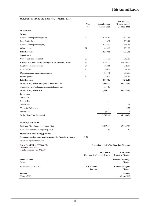| Statement of Profit and Loss for 31-March-2015                  |                    |                                             |                                             |
|-----------------------------------------------------------------|--------------------|---------------------------------------------|---------------------------------------------|
|                                                                 |                    |                                             | (Rs. In Lacs)                               |
|                                                                 | <b>Note</b><br>No. | 12 months ended                             | 18 months ended                             |
|                                                                 |                    | 31-Mar-2015                                 | 31-Mar-2014                                 |
| <b>Particulars</b>                                              |                    |                                             |                                             |
| <b>Income</b>                                                   |                    |                                             |                                             |
| Revenue from operations (gross)                                 | 20                 | 3,703.83                                    | 3,677.66                                    |
| Less: Excise duty                                               |                    | 176.90                                      | 231.99                                      |
| Revenue from operations (net)                                   |                    | 3,526.93                                    | 3,445.67                                    |
| Other income                                                    | 21                 | 693.12                                      | 275.35                                      |
| <b>Total Revenue</b>                                            |                    | 4,220.05                                    | 3,721.02                                    |
| <b>Expenditure</b>                                              |                    |                                             |                                             |
| Cost of materials consumed                                      | 22                 | 465.79                                      | 5,003.80                                    |
| Changes in inventories of finished goods and work-in-progress   | 23                 | 2,361.31                                    | (3,096.42)                                  |
| Employees benefit expenses                                      | 24                 | 592.88                                      | 1,075.89                                    |
| Finance costs                                                   | 25                 | 506.00                                      | 740.32                                      |
| Depreciation and amortisation expenses                          |                    | 204.45                                      | 311.86                                      |
| Other expenses                                                  | 26                 | 780.20                                      | 1,209.75                                    |
| <b>Total Expenses</b>                                           |                    | 4,910.63                                    | 5,245.20                                    |
| Profit / (Loss) before Exceptional items and Tax                |                    | (690.58)                                    | (1,524.18)                                  |
| Exceptional item (Voluntary retirement of employees)            |                    | 584.63                                      |                                             |
| Profit / (Loss) before Tax                                      |                    | (1,275.21)                                  | (1,524.18)                                  |
| Tax expense:                                                    |                    |                                             |                                             |
| Current tax                                                     |                    |                                             |                                             |
| Income Tax                                                      |                    |                                             |                                             |
| Wealth Tax                                                      |                    |                                             | 1.11                                        |
| Taxes for Earlier Years                                         |                    |                                             | 1.53                                        |
| Deferred tax                                                    |                    | (8.85)                                      | 11.6                                        |
| Profit / (Loss) for the period                                  |                    | (1,266.36)                                  | (1,538.42)                                  |
|                                                                 |                    |                                             |                                             |
| <b>Earnings per share</b>                                       |                    |                                             |                                             |
| Basic and Diluted earning per share (Rs.)                       |                    |                                             |                                             |
|                                                                 |                    | (1,862.29)                                  | (2,262.38)                                  |
| Face Value per share fully paid up (Rs.)                        |                    | 50                                          | 50                                          |
| <b>Significant accounting policies</b>                          | 1                  |                                             |                                             |
| See accompanying notes forming part of the financial statements | $1-39$             |                                             |                                             |
| As per our report of even date                                  |                    |                                             |                                             |
| For V. SANKAR AIYAR & CO<br><b>Chartered Accountants</b>        |                    |                                             | For and on behalf of the Board of Directors |
| Firm Registration No.109208W                                    |                    |                                             |                                             |
|                                                                 |                    | H. B. Doshi<br>Chairman & Managing Director | N. H. Doshi<br><b>Executive Director</b>    |
| <b>Arvind Mohan</b><br>Partner                                  |                    |                                             | <b>Moorad Fazalbhoy</b><br>Director         |
| Membership No. 124082                                           | H. P. Gandhi       | Director                                    | Ramola Mahajani<br>Director                 |
| <b>Mumbai</b><br>28-May-2015                                    |                    |                                             | <b>Mumbai</b><br>28-May-2015                |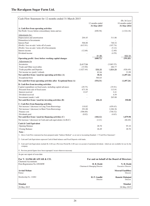| Cash Flow Statement for 12 months ended 31-March-2015                                                                                                                 |                     |                                             |                      |                                     |
|-----------------------------------------------------------------------------------------------------------------------------------------------------------------------|---------------------|---------------------------------------------|----------------------|-------------------------------------|
|                                                                                                                                                                       |                     |                                             |                      | (Rs. In Lacs)                       |
|                                                                                                                                                                       |                     | 12 months ended<br>31-Mar-2015              |                      | 18 months ended<br>31-Mar-2014      |
| A. Cash flow from operating activities                                                                                                                                |                     |                                             |                      |                                     |
| Net Profit / (Loss) before extraordinary items and tax                                                                                                                |                     | (690.58)                                    |                      | (1,524.18)                          |
| Adjustments for:                                                                                                                                                      |                     |                                             |                      |                                     |
| Depreciation and amortisation                                                                                                                                         | 204.45              |                                             | 311.86               |                                     |
| Dimunition in Investments                                                                                                                                             |                     |                                             |                      |                                     |
| <b>Interest Paid</b>                                                                                                                                                  | 506.00              |                                             | 740.32               |                                     |
| (Profit) / loss on sale / write off of assets<br>(Profit) / loss on sale / write off of Investments                                                                   | (615.91)            |                                             | (107.74)<br>(5.12)   |                                     |
| Interest income                                                                                                                                                       | (12.68)             |                                             | (2.40)               |                                     |
| Dividend income                                                                                                                                                       |                     |                                             | (4.59)               |                                     |
|                                                                                                                                                                       |                     | 81.86                                       |                      | 932.33                              |
| Operating profit / (loss) before working capital changes                                                                                                              |                     | (608.72)                                    |                      | (591.85)                            |
| Adjustments for                                                                                                                                                       |                     |                                             |                      |                                     |
| Inventories<br>Trade and Other receivables                                                                                                                            | 2,417.54<br>(33.90) |                                             | (3,065.55)<br>284.77 |                                     |
| Trade payables and Deposits                                                                                                                                           | (1,827.44)          | 556.20                                      | 1,854.29             | (926.49)                            |
| Net income tax (paid) / refunds                                                                                                                                       |                     | 82.84                                       |                      | 21.08                               |
| Net cash flow from / (used in) operating activities (A)                                                                                                               |                     | 30.32                                       |                      | (1,497.26)                          |
| <b>Exceptional Item</b>                                                                                                                                               |                     | 584.63                                      |                      |                                     |
| Net cash flow from operating activities after Eceptional Item (A)                                                                                                     |                     | (554.31)                                    |                      | (1,497.26)                          |
| <b>B.</b> Cash flow from investing activities                                                                                                                         |                     |                                             |                      |                                     |
| Capital expenditure on fixed assets, including capital advances                                                                                                       | (29.75)             |                                             | (35.91)              |                                     |
| Proceeds from sale of fixed assets                                                                                                                                    | 673.30              |                                             | 113.91               |                                     |
| Interest received<br>Dividend received                                                                                                                                | 12.67               |                                             | 2.41<br>4.59         |                                     |
| Investment (made) / sold                                                                                                                                              |                     |                                             | 265.88               |                                     |
| Net cash flow from / (used in) investing activities (B)                                                                                                               |                     | 656.22                                      |                      | 350.88                              |
| C. Cash flow from financing activities                                                                                                                                |                     |                                             |                      |                                     |
| Net increase / (decrease) in Long Term Borrowings                                                                                                                     | 110.82              |                                             | (459.43)             |                                     |
| Net increase / (decrease) in Short Term Borrowings                                                                                                                    | 291.08              |                                             | 2,284.36             |                                     |
| Finance cost                                                                                                                                                          | (506.00)            |                                             | (740.32)             |                                     |
| Dividends paid                                                                                                                                                        | (0.02)              |                                             | (4.63)               |                                     |
| Net cash flow from $/$ (used in) financing activities $(C)$                                                                                                           |                     | (104.12)                                    |                      | 1,079.98                            |
| Net increase / (decrease) in Cash and cash equivalents (A+B+C)                                                                                                        |                     | (2.21)                                      |                      | (66.40)                             |
| Cash & Cash Equivalent                                                                                                                                                |                     |                                             |                      |                                     |
| <b>Opening Balance</b>                                                                                                                                                |                     | 28.70                                       |                      | 95.10                               |
| Closing Balance                                                                                                                                                       |                     | 26.49                                       |                      | 28.70                               |
| Note :<br>1. Above Cash Flow statement has been prepared under "Indirect Method" as set out in Accounting Standard - 3 "Cash Flow Statement".                         |                     |                                             |                      |                                     |
|                                                                                                                                                                       |                     |                                             |                      |                                     |
| 2. Cash and Cash Equivalents represent Cash & Bank balances and Fixed Deposits with banks.                                                                            |                     |                                             |                      |                                     |
| 3. Cash and Cash Equivalents include Rs 4.46 Lacs (Previous Period Rs 4.48 Lacs) on account of unclaimed dividend, which are not available for use by the<br>company. |                     |                                             |                      |                                     |
| 4. Previous period figures have been regrouped / recast wherever necessary                                                                                            |                     |                                             |                      |                                     |
| As per our report of even date                                                                                                                                        |                     |                                             |                      |                                     |
|                                                                                                                                                                       |                     |                                             |                      |                                     |
| For V. SANKAR AIYAR & CO.<br><b>Chartered Accountants</b>                                                                                                             |                     | For and on behalf of the Board of Directors |                      |                                     |
| Firm Registration No.109208W                                                                                                                                          |                     | H. B. Doshi                                 |                      | N. H. Doshi                         |
|                                                                                                                                                                       |                     | Chairman & Managing Director                |                      | <b>Executive Director</b>           |
| <b>Arvind Mohan</b><br>Partner                                                                                                                                        |                     |                                             |                      | <b>Moorad Fazalbhoy</b><br>Director |
| Membership No. 124082                                                                                                                                                 |                     | H. P. Gandhi<br>Director                    |                      | Ramola Mahajani<br>Director         |
|                                                                                                                                                                       |                     |                                             |                      |                                     |
| Mumbai                                                                                                                                                                |                     |                                             |                      | Mumbai                              |
| 28-May-2015                                                                                                                                                           |                     |                                             |                      | 28-May-2015                         |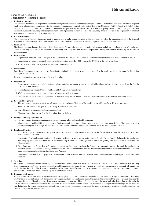#### Notes to the Accounts : **1 Significant Accounting Policies :**

# **a. Basis of Accounting:**

The financial statements are prepared in accordance with generally accepted accounting principles in India. The financial statements have been prepared in all material respects in accordance with the accounting standards as specified under section 133 of the Companies Act 2013 read with Rule 7 of the Companies (Accounts) rules, 2014. Financial statements are prepared on historical cost basis and as a going concern. The Company follows the mercantile system of accounting and recognizes income and expenditure on accrual basis. The accounting policies adopted in the preparation of financial statements are consistent with those of previous year.

#### **b. Use of Estimates:**

The preparation of financial statements requires management to make certain estimates and assumptions that affect the amounts reported in the financial statements and notes thereto. Differences between actual results and estimates are recognized in the period in which they materialize.

#### **c. Fixed Assets:**

Fixed Assets are stated at cost less accumulated depreciation. The cost of assets comprises of purchase price and directly attributable cost of bringing the assets to working condition for its intended use including borrowing cost and incidental expenditure during construction incurred up to the date of commissioning.

#### **d. Depreciation:**

- i Depreciation on Fixed Assets is charged in the accounts on the Straight Line Method in accordance with the Schedule II of the Companies Act, 2013.
- ii Depreciation in respect of each individual item of asset costing up to Rs. 5000/- is provided  $@100\%$  in the year of purchase.

iii Software is amortised over 3 years from the date of implementation.

#### **e. Investments:**

Long Term Investments are valued at costs. Provision for diminution in value of investments is made if, in the opinion of the management, the diminution is of a permanent nature.

Current Investments are valued at lower of cost or fair value.

#### **f. Inventories:**

- i Stores, spares, packing materials, loose tools and raw materials are valued at cost or net realisable value whichever is lower, by applying the First In First Out (FIFO) Method.
- ii Finished goods are valued at Cost or Net Realisable Value whichever is lower.
- iii Work in progress / process is valued at lower of cost or net realisable value.
- iv Estimated quantities of saleable by-products i.e. Molasses, Bagasse and Treated Dry Press mud are valued at estimated Net Realisable Value.

#### **g. Revenue Recognition:**

- i The company recognizes revenue from sale of products upon dispatch/delivery of the goods coupled with transfer of title to the customers.
- ii Revenue from service is recognized on rendering of services to customers.
- iii Interest Income is recognized on time proportion basis.
- iv Dividend Income is recognized, at the time when they are declared.

#### **h. Foreign Currency Transaction:**

- i Foreign currency transactions are accounted at the rates prevailing on the date of transaction.
- ii Monetary Assets and Liabilities denominated in foreign currencies are translated at the exchange rate prevailing on the Balance Sheet date. Any gains or losses arising due to exchange differences at the time of translation or settlement are accounted for in the Profit and Loss Account.

#### **i. Employee Benefits:**

- i Short Term employee benefits are recognized as an expense at the undiscounted amount in the Profit and Loss Account for the year in which the related service is rendered.
- ii In respect of Post employment benefits viz. Gratuity, the Company has a master policy with LIC under Group Gratuity Scheme for its employees. The company provides / contributes to LIC Group Gratuity Scheme for future payments of retirement gratuity to the employees as determined by Management.
- iii Other Long term benefits viz. Leave Encashment are recognized as an expense in the Profit and Loss Account for the year in which the employee has rendered service. The expense is recongised at the present value of the amounts payable determined using actuarial valuation techniques. Actuarial gains and losses are charged to the Profit and Loss Account.
- iv Company's contribution paid / payable to defined contribution schemes such as Provident Fund, Superannuation are charged to Profit and Loss Account.

#### **j. Taxation:**

Provision for current tax is made after taking into consideration benefits admissible under the provisions of Income Tax Act, 1961. Deferred Tax resulting from "timing difference" between book and taxable profit is accounted for using the tax rates and laws that have been enacted or substantively enacted as on the Balance Sheet date. The deferred tax asset is recognized and carried forward only to the extent there is reasonable certainty / virtual certainty as the case may be, that the asset will be realized against future taxable profits.

#### **k. Impairment of Assets:**

At each Balance sheet date, the management reviews the carrying amount of its assets and goodwill included in each Cash generating Unit to determine whether there is any indication that those assets were impaired. If any such indication exists, the recoverable amount of the asset is estimated in order to determine the extent of impairment loss. Recoverable amount of an asset is the higher of an asset's net selling price and value in use. In assessing value in use, the estimated future cash flows from the continuing use of the asset and from its disposal are discounted to their present value using a pre-tax discount rate that reflects the current market assessments of time value and the risks specific to the asset. Reversal of impairment loss is recognized immediately as income in the profit and loss account.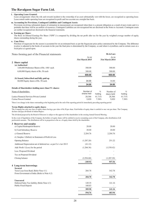#### **l. Operating Lease Granted:**

Lease arrangements where the risk and rewards incident to the ownership of an asset substantially vest with the lessor, are recognized as operating lease. Lease rentals under operating lease are recognized in profit and loss account on a straight-line basis.

#### **m. Accounting for Provisions, Contingent Liabilities and Contingent Assets:**

Provisions involving substantial degree of estimation in measurement are recognized when there is a present obligation as a result of past events and it is probable that there will be an outflow of resources. Contingent Liabilities are not recognized but are disclosed in the Notes to Accounts. Contingent assets are neither recognized nor disclosed in the financial statements.

#### **n. Earning per Share:**

The Basic & Diluted Earnings Per Share ("EPS") is computed by dividing the net profit after tax for the year by weighted average number of equity shares outstanding during the year.

#### **o. Cane Price:**

Purchase of sugarcane for the season is accounted for on an estimated basis as per the Sugarcane price policy announced by the Company. The difference in price is adjusted in the books of accounts in the year the final price is determined by the Company, as and when it crystallizes, and in certain cases at a fixed price as agreed upon.

# Notes forming part of the Financial statements **Rs** in Lacs

|                                                      | As on           |         | As on                  |         |
|------------------------------------------------------|-----------------|---------|------------------------|---------|
|                                                      | 31st March 2015 |         | <b>31st March 2014</b> |         |
| 2 Share capital                                      |                 |         |                        |         |
| (a) Authorised                                       |                 |         |                        |         |
| 3,00,000 Preference Shares of Rs. 100/- each         | 300.00          |         | 300.00                 |         |
| $6,00,000$ Equity shares of Rs. 50 each              | 300.00          |         | 300.00                 |         |
|                                                      | 600.00          |         | 600.00                 |         |
| (b) Issued, Subscribed and fully paid up             |                 |         |                        |         |
| 68,000 Equity shares of Rs. 50 each.                 | 34.00           |         | 34.00                  |         |
|                                                      | 34.00           |         | 34.00                  |         |
| Details of Shareholders holding more than 5% shares: |                 |         |                        |         |
| Name of shareholders                                 | Number of       | $\%$    | Number of              | $\%$    |
|                                                      | shares held     | holding | shares held            | holding |
| Lanica Financial Services Private Limited            | 28,366          | 41.71%  | 28,366                 | 41.71%  |

Carina Finvest Limited 5,020 7.38% 5,020 7.38% There is no change in the shares outstanding at the beginning and at the end of the reporting period & immediately preceding reporting period

#### **Terms Rights attached to equity shares**

The Company has only one class of equity shares having a par value of Rs.50 per share. Each holder of equity share is entitled to one vote per share. The Company declares and pays dividends in Indian Rupees.

The dividend proposed by the Board of Directors is subject to the approval of the shareholders in the ensuing Annual General Meeting.

In the event of liquidation of the Company, the holders of equity shares will be entitled to receive remaining assets of the Company, after distribution of all preferential amounts. The distribution will be in proportion to the no. of equity shares held by the shareholder.

| 3 Reserves and surplus<br>a) Capital Redemption Reserve           | 20.00      | 20.00      |
|-------------------------------------------------------------------|------------|------------|
| b) Cash Subsidiary Reserve                                        | 20.00      | 20.00      |
|                                                                   |            |            |
| c) General Reserve                                                | 2,204.76   | 2,204.76   |
| d) Surplus / (Deficit) in Statement of Profit & Loss              |            |            |
| <b>Opening Balance</b>                                            | (1,287.20) | 251.22     |
| Additional Depreciation net of deferred tax as per Co.'s Act 2013 | (41.12)    |            |
| Add: Profit / (Loss) for the period                               | (1,266.36) | (1,538.42) |
| Less: Proposed Dividend                                           |            |            |
| Tax on Proposed Dividend                                          |            |            |
| Closing balance                                                   | (2,594.68) | (1,287.20) |
|                                                                   | $-349.92$  | 957.56     |
| 4 Long-term borrowings                                            |            |            |
| <b>Secured</b>                                                    |            |            |
| Term Loan from Bank (Refer Note 4.1)                              | 284.78     | 342.78     |
| From Government of India (Refer to Note 4.2)                      |            |            |
|                                                                   | 284.78     | 342.78     |
| <b>Unsecured</b>                                                  |            |            |
| Deferred Sales Tax liability (Refer Note 4.3)                     | 149.35     | 141.16     |
| <b>Public Fixed Deposit</b>                                       | 160.63     |            |
|                                                                   | 309.98     | 141.16     |
|                                                                   | 594.76     | 483.94     |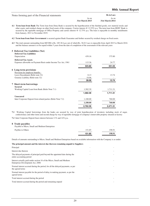| Notes forming part of the Financial statements |                 | <b>Rs</b> in Lacs |
|------------------------------------------------|-----------------|-------------------|
|                                                | As on           | As on             |
|                                                | 31st March 2015 | 31st March 2014   |

**4.1 Term loan from Bank** The Term loan from Dena Bank is secured by the hypothecation of the finished goods, raw material stocks and other assets; and residual charge on other fixed assets of the company. Carries interets @ 12.55% p.a. The term loan from HDFC Bank is secured by the equitable mortgage of Office Property and carries interest @ 12.75% p.a. The loan is repayable in monthly installments from January, 2011 to November 2019.

**4.2 Term loan from State Government** is secured against Bank Guarantee and further secured by residual charge on fixed assets.

**4.3** The total amount outstanding from SICOM is Rs. 185.36 Lacs out of which Rs. 36.01 Lacs is repayable from April 2015 to March 2016 and the balance amount is to be repaid within 5 years from the date of completion of the assessment of the relevant years

| 5 Deferred Tax Liabilities (Net)                               |          |          |
|----------------------------------------------------------------|----------|----------|
| <b>Deferred Tax Liabilities</b>                                |          |          |
| Depreciation                                                   | 439.16   | 375.80   |
| <b>Deferred Tax Assets</b>                                     |          |          |
| Expenses allowable on Payment Basis under Income Tax Act, 1961 | 115.36   | 24.77    |
|                                                                | 323.80   | 351.03   |
| <b>6</b> Long-term provisions                                  |          |          |
| Provision for employee benefits:                               |          |          |
| Leave Encashment (Refer note 32)                               | 8.13     | 13.74    |
| Gratuity Liability (Refer note 32)                             | 19.96    |          |
|                                                                | 28.09    | 13.74    |
| 7 Short-term borrowings                                        |          |          |
| <b>Secured</b>                                                 |          |          |
| Working Capital Loan from Bank (Refer Note 7.1)                | 1,582.39 | 1,711.31 |
|                                                                | 1,582.39 | 1,711.31 |
| <b>Unsecured</b>                                               |          |          |
| Inter Corporate Deposit from related parties (Refer Note 7.2)  | 1,180.00 | 760.00   |
|                                                                | 1,180.00 | 760.00   |
|                                                                | 2,762.39 | 2,471.31 |

**7.1** Working Capital borrowings from the banks are secured by way of joint hypothecation of inventory including stock of sugar, confectionary and other items and second charge by way of equitable mortgage of company's immovable property situated at factory

**7.2** Inter Corporate Deposit bears interest between 11% and 14% p.a.

#### **8 Trade payables**

|                                                | 151.85                   | 198.91                   |
|------------------------------------------------|--------------------------|--------------------------|
| Paybles to Others                              | 151.85                   | 198.91                   |
| Payable to Micro, Small and Medium Enterprises | $\overline{\phantom{a}}$ | $\overline{\phantom{a}}$ |

Details of amounts outstanding to Micro, Small and Medium Enterprises based on available information with the Company is as under:

| The principal amount and the interest due thereon remaining unpaid to Suppliers                             |  |  |
|-------------------------------------------------------------------------------------------------------------|--|--|
| Principal                                                                                                   |  |  |
| Interest due thereon                                                                                        |  |  |
| The delayed payments of principal paid beyond the appointed date during the<br>entire accounting period     |  |  |
| Interest actually paid under section 16 of the Micro, Small and Medium<br>Enterprises Development Act, 2006 |  |  |
| Normal interest accrued during the period, for all the delayed payments, as per<br>the agreed terms         |  |  |
| Normal interest payable for the period of delay in making payment, as per the<br>agreed terms               |  |  |
| Total interest accrued during the period                                                                    |  |  |
| Total interest accrued during the period and remaining unpaid                                               |  |  |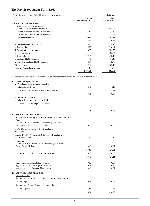| Notes forming part of the Financial statements |                        | <b>Rs</b> in Lacs      |
|------------------------------------------------|------------------------|------------------------|
|                                                | As on                  | As on                  |
|                                                | <b>31st March 2015</b> | <b>31st March 2014</b> |
| <b>9</b> Other current liabilities             |                        |                        |
| a) Current maturities of long-term debt        |                        |                        |
| Term Loan from Bank (Refer note 4.1)           | 58.00                  | 1,401.10               |
| From Government of India (Refer note 4.2)      | 37.82                  | 37.82                  |
| Deferred Sales Tax liability (Refer note 4.3)  | 36.01                  | 22.94                  |
| <b>Public Fixed Deposit</b>                    | 290.64                 | 568.38                 |
|                                                | 422.47                 | 2,030.24               |
| b) Unpaid dividends (Refer note 9.1)           | 4.46                   | 4.48                   |
| c) Statutory dues                              | 115.00                 | 116.11                 |
| d) Advances from customers                     | 86.97                  | 183.55                 |
| e) Cane Liabilities                            | 33.43                  | 106.12                 |
| f) Other Liabilities                           | 177.35                 | 218.45                 |
| g) Unclaimed Public Deposits                   | 15.78                  | 11.40                  |
| h) Interest on Unclaimed Public Deposits       | 2.97                   | 2.77                   |
| i) Sundry Deposits                             | 167.18                 | 162.43                 |
| j) Interest Accrued and not Due                | 65.67                  | 47.97                  |
|                                                | 1,091.28               | 2,883.52               |

**9.1** There is no amount due and outstanding to be credited to the Investor Education and Protection Fund.

| 10 Short-term provisions                                                                          |                |               |
|---------------------------------------------------------------------------------------------------|----------------|---------------|
| a) Provision for employee benefits:<br>i) Provision for Bonus                                     | 2.70           | 1.45          |
| ii) Provision for Leave encashment (Refer note 32)                                                | 4.45           | 8.21          |
|                                                                                                   | 7.15           | 9.66          |
| b) Provision - Others                                                                             |                |               |
| i) Provision for proposed equity dividend                                                         |                |               |
| ii) Provision for tax on proposed dividend                                                        |                |               |
|                                                                                                   |                |               |
|                                                                                                   | 7.15           | 9.66          |
| 12 Non-current investments                                                                        |                |               |
| Investment in equity instruments (non trade invetsments)<br><b>Ouoted</b>                         |                |               |
| 2,419 (PY: 2,419) shares of Rs. 20 each fully paid up in<br>The Scindia Steam Navigation Co. Ltd. | 0.20           | 0.20          |
| 1 (PY: 1) shares of Rs. 10 each fully paid up in                                                  |                |               |
| Dena Bank                                                                                         |                |               |
| 17,600 (PY: 17,600) shares of Rs 10 each fully paid up in<br><b>Acrow India Limited</b>           | 8.80           | 8.80          |
| <b>Unquoted</b><br>36,190 (PY: 36,190) shares of Rs.10 each fully paid up in                      |                |               |
| Carina Finvest Limited                                                                            | 18.61          | 18.61         |
|                                                                                                   | 27.61          | 27.61         |
| Less: Provision for diminution in value of investments                                            | 0.20           | 0.20          |
|                                                                                                   | 27.41          | 27.41         |
| Aggregate amount of quoted investments                                                            | 9.00           | 9.00          |
| Aggregate market value of quoted investments<br>Aggregate amount of unquoted investments          | 20.38<br>18.61 | 6.70<br>18.61 |
|                                                                                                   |                |               |
| 13 Long-term loans and advances<br>Capital Advances                                               |                |               |
| Balances with government authorities - Unsecured, considered good                                 |                |               |
| <b>Security Deposits</b>                                                                          | 0.16           | 0.16          |
| Balances with Others - Unsecured, considered good                                                 |                |               |
| <b>Security Deposits</b>                                                                          | 114.54         | 114.54        |
|                                                                                                   | 114.70         | 114.70        |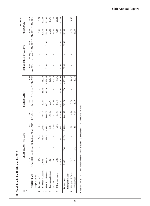11 Fixed Assets As At 31- March - 2015 **11 Fixed Assets As At 31- March - 2015**

|               |                      |          |                       |        |                                                       |                     |              |        |                                          |                     |                      |       |                                                       | Rs. In Lacs |
|---------------|----------------------|----------|-----------------------|--------|-------------------------------------------------------|---------------------|--------------|--------|------------------------------------------|---------------------|----------------------|-------|-------------------------------------------------------|-------------|
| 2<br>Sr.      |                      |          | GROSS BLOCK (AT COST) |        |                                                       |                     | DEPRECIATION |        |                                          |                     | IMPAIRMENT OF ASSETS |       | NET BLOCK                                             |             |
|               | <b>PARTICULARS</b>   | As at    |                       |        | 1-Apr-2014 Addditions Deductions 31-Mar-2015<br>As at | 1-Apr-2014<br>As at | For          |        | the year Deductions 31-Mar-2015<br>As at | 1-Apr-2014<br>As at | During               | Asat  | the year 31-Mar-2015 31-Mar-2015 31-Mar-2014<br>As at | As at       |
|               | Tangible Assets      |          |                       |        |                                                       |                     |              |        |                                          |                     |                      |       |                                                       |             |
|               | Freehold Land        | 3.74     |                       | 2.43   | 1.31                                                  |                     |              |        | ı                                        |                     |                      | ï     | $\frac{131}{2}$                                       | 3.74        |
| $\mathcal{C}$ | Buildings & Godowns  | 2,069.57 |                       | 31.29  | 2,038.28                                              | 466.94              | 67.46        | 16.70  | 517.70                                   |                     |                      |       | 1,520.58                                              | 1,602.63    |
| 3             | Plant & Equipments   | 5,000.24 |                       | 58.65  | 4,941.59                                              | 4,060.02            | 140.12       | 18.28  | 4,181.86                                 | 32.90               |                      | 32.90 | 726.83                                                | 907.32      |
| 4             | Furniture & Fixtures | 154.34   |                       |        | 154.34                                                | 102.59              | 23.95        |        | 126.54                                   |                     |                      |       | 27.80                                                 | 51.75       |
| 5             | Vehicles             | 112.67   |                       |        | 112.67                                                | 91.65               | 10.55        |        | 102.20                                   |                     |                      | ı     | 10.47                                                 | 21.02       |
| $\circ$       | Office Equipment     | 61.05    |                       |        | 61.05                                                 | 35.63               | 18.13        |        | 53.76                                    |                     |                      |       | 7.29                                                  | 25.42       |
|               |                      | 7,401.61 |                       | 92.37  | 7,309.24                                              | 4,756.83            | #260.21      | 34.98  | 4,982.06                                 | 32.90               |                      | 32.90 | 2,294.28                                              | 2,611.88    |
|               | Previous Year        | 7,387.15 | 22.68                 | (8.22) | 7,401.61                                              | 4,448.12            | 310.76       | (2.05) | 4,756.83                                 | 32.90               |                      | 32.90 | 2,611.88                                              |             |
|               | Intangable Assets    |          |                       |        |                                                       |                     |              |        |                                          |                     |                      |       |                                                       |             |
|               | Computer Software    | 21.17    |                       |        | 21.17                                                 | 10.74               | 3.73         |        | 14.47                                    |                     |                      |       | 6.70                                                  | 10.43       |
|               | Previous year        | 9.74     | 11.43                 |        | 21.17                                                 | 9.64                | 1.10         |        | 10.74                                    |                     |                      |       | 10.43                                                 |             |
|               |                      |          |                       |        |                                                       |                     |              |        |                                          |                     |                      |       |                                                       |             |

# Note: Rs 59.49 lacs has been transferred to Reserves & Surplus as per Schedule II of Companies Act 2013 # Note : Rs 59.49 lacs has been transferred to Reserves & Surplus as per Schedule II of Companies Act 2013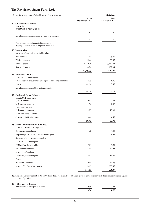# **The Ravalgaon Sugar Farm Ltd.**

|                                                                     | Notes forming part of the Financial statements                  |                 | <b>Rs</b> in Lacs      |
|---------------------------------------------------------------------|-----------------------------------------------------------------|-----------------|------------------------|
|                                                                     |                                                                 | As on           | As on                  |
| 14 Current investments                                              |                                                                 | 31st March 2015 | <b>31st March 2014</b> |
| <b>Unquoted</b>                                                     |                                                                 |                 |                        |
| Investment in mutual funds                                          |                                                                 |                 |                        |
|                                                                     |                                                                 |                 |                        |
|                                                                     | Less: Provision for diminution in value of investments          |                 |                        |
|                                                                     |                                                                 |                 |                        |
|                                                                     | Aggregate amount of unquoted investments                        |                 |                        |
|                                                                     | Aggregate market value of unquoted investments                  |                 |                        |
| 15 Inventories                                                      |                                                                 |                 |                        |
|                                                                     | (At lower of cost and net realisable value)                     |                 |                        |
| Raw materials                                                       |                                                                 | 145.45          | 96.40                  |
| Work-in-progress                                                    |                                                                 | 55.46           | 55.46                  |
| Finished goods                                                      |                                                                 | 1,380.76        | 3,742.07               |
| Stores and spares                                                   |                                                                 | 264.06          | 369.34                 |
|                                                                     |                                                                 | 1,845.73        | 4,263.27               |
| 16 Trade receivables                                                |                                                                 |                 |                        |
| Unsecured, considered good                                          |                                                                 |                 |                        |
|                                                                     | Trade Receivables outstanding for a period exceeding six months | 2.99            | 6.30                   |
| Others                                                              |                                                                 | 42.08           | 0.45                   |
|                                                                     | Less: Provision for doubtful trade receivables                  |                 |                        |
|                                                                     |                                                                 | 45.07           | 6.75                   |
| 17 Cash and Bank Balance                                            |                                                                 |                 |                        |
| Cash & Cash Equivalent                                              |                                                                 |                 |                        |
| a) Cash on hand                                                     |                                                                 | 0.32            | 0.44                   |
| b) In current accounts                                              |                                                                 | 9.56            | 7.47                   |
| Other Bank Balance                                                  |                                                                 |                 |                        |
| a) In deposit accounts                                              |                                                                 | 12.15           | 16.31                  |
| b) In earmarked accounts                                            |                                                                 |                 |                        |
| c) Unpaid dividend accounts                                         |                                                                 | 4.46            | 4.48                   |
|                                                                     |                                                                 | 26.49           | 28.70                  |
| 18 Short-term loans and advances<br>Loans and Advances to employees |                                                                 |                 |                        |
|                                                                     |                                                                 |                 |                        |
| Secured, considered good                                            |                                                                 | 4.38            | 5.43                   |
|                                                                     | Prepaid expenses - Unsecured, considered good                   | 7.47            | 7.82                   |
| Balances with government authorities                                |                                                                 |                 |                        |
| Unsecured, considered good                                          |                                                                 |                 |                        |
| CENVAT credit receivable                                            |                                                                 | 7.21            | 4.20                   |
| VAT credit receivable                                               |                                                                 | 22.53           | 22.53                  |
| Advances to Suppliers                                               |                                                                 |                 |                        |
| Unsecured, considered good                                          |                                                                 | 16.41           | 14.91                  |
| Others                                                              |                                                                 |                 |                        |
| <b>Advance Recoverable</b>                                          |                                                                 | 39.50           | 47.03                  |
| Advance Tax (net of provisions)                                     |                                                                 | 153.61          | 236.45                 |
|                                                                     |                                                                 | 251.11          | 338.37                 |

**18.1** Includes Security deposit of Rs. 15.00 Lacs (Previous Year Rs. 15.00 Lacs) given to companies in which directors are interested against lease of premises.

#### **19 Other current assets** Interest accrued on deposits & loans 0.36 0.35

| microst accrucu on ueposits ex found | $v \cdot v$ | J.UU |
|--------------------------------------|-------------|------|
|                                      | эг          |      |
|                                      |             |      |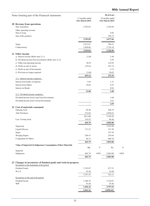# **80th Annual Report**

| Notes forming part of the Financial statements                   |                                           |      | <b>Rs</b> in Lacs                         |      |
|------------------------------------------------------------------|-------------------------------------------|------|-------------------------------------------|------|
|                                                                  | 12 months ended<br><b>31st March 2015</b> |      | 18 months ended<br><b>31st March 2014</b> |      |
| 20 Revenue from operations                                       |                                           |      |                                           |      |
| Sale of products                                                 | 3,703.83                                  |      | 3,320.49                                  |      |
| Other operating revenue                                          |                                           |      |                                           |      |
| Sale of scrap<br>Sale of By-products                             |                                           |      | 6.84<br>350.33                            |      |
|                                                                  | 3,703.83                                  |      | 3,677.66                                  |      |
|                                                                  |                                           |      |                                           |      |
| Sugar                                                            | 2,012.97                                  |      | 596.31                                    |      |
| Confectionary                                                    | 1,690.86                                  |      | 2,724.18                                  |      |
|                                                                  | 3,703.83                                  |      | 3,320.49                                  |      |
| 21 Other income<br>a) Interest income (Refer note 21.1)          | 12.68                                     |      | 2.40                                      |      |
| b) Dividend income from investments (Refer note 21.2)            |                                           |      | 4.59                                      |      |
| c) Other non-operating income                                    | 48.43                                     |      | 124.85                                    |      |
| d) Profit on sale of Assets                                      | 618.41                                    |      | 107.74                                    |      |
| e) Profit on sale of Investments                                 |                                           |      | 5.12                                      |      |
| f) Provision no longer required                                  | 13.60                                     |      | 30.65                                     |      |
|                                                                  | 693.12                                    |      | 275.35                                    |      |
| 21.1 Interest income comprises :                                 |                                           |      |                                           |      |
| Interest from banks on deposits                                  | 1.84                                      |      | 1.31                                      |      |
| <b>Interest from Others</b>                                      | 10.84                                     |      | 0.25                                      |      |
| <b>Interest on Bonds</b>                                         |                                           |      | 0.84                                      |      |
|                                                                  | 12.68                                     |      | 2.40                                      |      |
| 21.2 Dividend income comprises :                                 |                                           |      |                                           |      |
| Dividend Income from Long Term Investments                       |                                           |      | 1.68                                      |      |
| Dividend Income from Current Investments                         |                                           |      | 2.91<br>4.59                              |      |
| 22 Cost of materials consumed                                    |                                           |      |                                           |      |
| Opening stock                                                    | 96.40                                     |      | 206.19                                    |      |
| Add: Purchases                                                   | 514.84                                    |      | 4,894.01                                  |      |
|                                                                  | 611.24                                    |      | 5,100.20                                  |      |
| Less: Closing stock                                              | 145.45                                    |      | 96.40                                     |      |
|                                                                  | 465.79                                    |      | 5,003.80                                  |      |
| Sugarcane                                                        |                                           |      | 3,425.98                                  |      |
| Liquid Glucose                                                   | 171.23                                    |      | 321.50                                    |      |
| Sugar                                                            |                                           |      | 335.30                                    |      |
| <b>Wraping Papers</b>                                            | 248.43                                    |      | 254.84                                    |      |
| Components & Others                                              | 46.13                                     |      | 666.18                                    |      |
|                                                                  | 465.79                                    |      | 5,003.80                                  |      |
| Value of Imported & Indigenous Consumption of Raw Materials      | Rs.                                       | $\%$ | Rs.                                       | $\%$ |
| Imported<br>Indigenous                                           | $\overline{a}$<br>465.79                  | 100% | $\overline{a}$<br>5,003.80                | 100% |
|                                                                  | 465.79                                    |      | 5,003.80                                  |      |
| 23 Changes in inventories of finished goods and work-in-progress |                                           |      |                                           |      |
| Inventories at the beginning of the period                       |                                           |      |                                           |      |
| <b>Finished Goods</b>                                            | 3,742.07                                  |      | 677.51                                    |      |
| W.I. P.                                                          | 55.46                                     |      | 23.60                                     |      |
|                                                                  | 3,797.53                                  |      | 701.11                                    |      |
| Inventories at the end of the period                             |                                           |      |                                           |      |
| <b>Finished Goods</b><br><b>WIP</b>                              | 1,380.76<br>55.46                         |      | 3,742.07<br>55.46                         |      |
|                                                                  | 1,436.22                                  |      | 3,797.53                                  |      |
|                                                                  | 2,361.31                                  |      | (3,096.42)                                |      |
|                                                                  |                                           |      |                                           |      |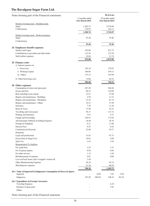| Notes forming part of the Financial statements                          | <b>Rs</b> in Lacs      |         |                          |       |
|-------------------------------------------------------------------------|------------------------|---------|--------------------------|-------|
|                                                                         | 12 months ended        |         | 18 months ended          |       |
|                                                                         | <b>31st March 2015</b> |         | <b>31st March 2014</b>   |       |
| Details of closing stock - Finished goods                               | 1,202.33               |         | 3,579.96                 |       |
| Sugar<br>Confectionary                                                  | 176.93                 |         | 162.11                   |       |
|                                                                         | 1,380.76               |         | 3,742.07                 |       |
| Details of closing stock - Work in progress                             |                        |         |                          |       |
| Sugar                                                                   | 55.46                  |         | 55.46                    |       |
| Confectionary                                                           |                        |         |                          |       |
|                                                                         | 55.46                  |         | 55.46                    |       |
| 24 Employees benefit expenses                                           |                        |         |                          |       |
| Salaries and wages                                                      | 470.08                 |         | 871.37                   |       |
| Contributions to provident and other funds                              | 112.76                 |         | 172.78                   |       |
| Staff welfare expenses                                                  | 10.04                  |         | 31.74                    |       |
|                                                                         | 592.88                 |         | 1,075.89                 |       |
| 25 Finance costs                                                        |                        |         |                          |       |
| a) Interest expense on:                                                 |                        |         |                          |       |
| i. Term Loan                                                            | 136.16                 |         | 179.87                   |       |
| ii. Working Capital                                                     | 180.86                 |         | 359.13                   |       |
| iii. Others                                                             | 175.12                 |         | 155.99                   |       |
|                                                                         |                        |         |                          |       |
| b) Other borrowing costs                                                | 13.86                  |         | 45.33                    |       |
|                                                                         | 506.00                 |         | 740.32                   |       |
| 26 Other expenses                                                       |                        |         |                          |       |
| Consumption of stores and spare parts                                   | 187.20                 |         | 206.26                   |       |
| Power and Fuel                                                          | 90.15                  |         | 176.09                   |       |
| Rent including Lease rentals                                            | 12.51                  |         | 27.08                    |       |
| Repairs and maintenance - Buildings                                     | 4.59                   |         | 11.21                    |       |
| Repairs and maintenance - Machinery<br>Repairs and maintenance - Others | 12.32<br>19.31         |         | 61.33<br>37.49           |       |
| Insurance                                                               | 7.38                   |         | 11.26                    |       |
| Rates & Taxes                                                           | 71.98                  |         | 42.31                    |       |
| Travelling and Conveyance                                               | 58.17                  |         | 113.72                   |       |
| Printing and Stationery                                                 | 3.41                   |         | 6.31                     |       |
| Freight and Forwarding                                                  | 104.91                 |         | 173.65                   |       |
| Advertisement, Publicity & Selling Expenses                             | 18.40                  |         | 36.78                    |       |
| Postage & Telephone                                                     | 8.11                   |         | 11.86                    |       |
| Director Fees                                                           | 0.52                   |         | 0.42                     |       |
| Commission & Discount                                                   | 32.00                  |         | 29.77                    |       |
| Donations                                                               | ٠                      |         | $\overline{\phantom{a}}$ |       |
| Legal and professional                                                  | 31.01                  |         | 67.31                    |       |
| Excise Duty & Sugar Cess                                                | 10.81                  |         | 5.09                     |       |
| Sales Tax                                                               | 3.43                   |         | 7.05                     |       |
| Remuneration To Auditors                                                |                        |         |                          |       |
| For Audit Fees                                                          | 2.25                   |         | 3.37                     |       |
| For Taxation matters                                                    | 0.56                   |         | 0.84                     |       |
| For other services                                                      | 1.12                   |         | 1.69                     |       |
| Reimbursement of expenses                                               | 0.01                   |         | 0.08                     |       |
| Loss on Fixed Assets sold / scrapped / written off                      | 2.50                   |         |                          |       |
| Other Manufacturing Expenses                                            | 56.19                  |         | 92.33                    |       |
| Miscellaneous expenses                                                  | 41.36                  |         | 86.45                    |       |
|                                                                         | 780.20                 |         | 1,209.75                 |       |
| 26.1 Value of Imported & Indigenous Consumption of Stores & Spares      |                        |         |                          |       |
| Imported                                                                | $\frac{1}{2}$          | $0.0\%$ | 7.83                     | 3.8%  |
| Indigenous                                                              | 187.20                 | 100.0%  | 198.43                   | 96.2% |
| 26.2 Expenditure in Foreign Currencies                                  |                        |         |                          |       |
| <b>Traveling Expenses</b>                                               |                        |         | 6.18                     |       |
| Purchase of spare parts                                                 |                        |         | 7.83                     |       |
| Others                                                                  |                        |         | ÷,                       |       |
|                                                                         |                        |         |                          |       |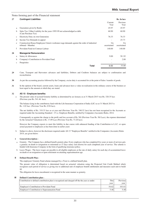| 27           | <b>Contingent Liabilities</b>                                                                                  |                          | Rs. In lacs       |
|--------------|----------------------------------------------------------------------------------------------------------------|--------------------------|-------------------|
|              |                                                                                                                | Current<br>Year          | Previous<br>Year  |
| a            | Guarantees given by Banks                                                                                      | 45.97                    | 45.97             |
| b            | Sales Tax / Other Liability for the years 1995-99 not acknowledged as debt.<br>(Cane Purchase Tax)             | 60.90                    | 60.90             |
| $\mathbf{c}$ | Electricity Duty on own Generation                                                                             | 76.33                    | 76.33             |
| d            | Income Tax Demands in appeal                                                                                   |                          | 25.73             |
| e            | Construction House Employees Union's workmen wage demands against the order of industiral<br>tribunal - Mumbai | Un<br>ascertained        | Un<br>ascertained |
| f            | Provident Fund on Contract Labour                                                                              | 140.00                   | 140.00            |
| 28           | <b>Manegerial Remuneration</b>                                                                                 |                          |                   |
| a            | Salary & Allowances                                                                                            | 9.00                     | 50.92             |
| b            | Company's Contribution to Provident Fund                                                                       | $\overline{\phantom{a}}$ | 2.88              |
| $\mathbf c$  | Perquisites                                                                                                    |                          |                   |
|              | Total                                                                                                          | 9.00                     | 53.80             |

- **29** Cane, Transport and Harvesters advances and liabilities, Debtors and Creditors balances are subject to confirmation and reconciliation.
- **30** As per the accounting practice followed by the Company, excise duty is accounted for at the point of Sales / transfer of goods.
- **31** In the opinion of the board, current assets, loans and advances have a value on realisation in the ordinary course of the business at least equal to the amount at which they are stated.

#### **32 AS 15 - Employee benefits:**

a The present value of accrued Gratuity liability as determined by an Actuary as at 31 March 2015 was Rs. 320.35 lacs (Previous year Rs. 541.46 lacs).

The balance lying in the contributory fund with the Life Insurance Corporation of India (LIC) as at 31 March 2015 is Rs. 1.02 lacs (Previous Year Rs. 0.94 lacs).

The net liability of Rs. 319.33 lacs as at year end (Previous Year Rs. 540.52 lacs) has not been recognised in the Accounts as required under the Accounting Standard - 15 i.e. Employee Benefits, notified by Companies (Accounts) Rules, 2014.

Consuquently as against the charge to the profit and loss account of Rs. Nil (Previous Year Rs. Nil Lacs), the expense determined by the Actuarial Valuatiuon is Rs. 17.89 Lacs (Previous Year Rs. 73.20 lacs).

However the Company expcets to meet this liability in due course with enhanced funding of the Contribution to L.I.C. or upon actual payment to employees as has been done in earlier years

b Subject to above, however the disclosure required under AS 15 "Employee Benefits" notified in the Companies (Accounts) Rules 2014, are given below:

#### **I General description :**

- a Gratuity : The Company has a defined benefit gratuity plan. Every employee who has completed five years or more of services gets a gratuity on death or resignation or retirement at 15 days salary (last drawn) for each completed year of service. The scheme is funded with Insurance Company in the form of qualifying insurance policy.
- b Leave Wages : The leave wages are payable to all eligible employees at the rate of daily salary for each day of accumulated leave on death or on resignation or upon retirement on attaining superannuation age.

#### **II Defined Benefit Plan :**

The employees' Gratuity Fund scheme managed by a Trust is a defined beneift plan.

The present value of obligation is determined based on actuarial valuation using the Projected Unit Credit Method which recognizes each period of service as giving rise to additional unit of employee benefit entitlement and measures each unit to build up

The obligation for leave encashment is recognized in the same manner as gratuity.

#### **III Defined Contribution plan :**

| Contribution to defined contribution plan is recognized and charged off the the year as under: | This<br>vear | Previous<br>vear |
|------------------------------------------------------------------------------------------------|--------------|------------------|
| Employer's Contribution to Provident Fund                                                      | 54.62        | 101.611          |
| Employer's Contribution to Superannuation Fund                                                 | 5.48         | 5.48             |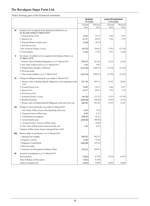|      |                                                                                                | Gratuity<br>(Funded) |                  | <b>Leave Encashment</b><br>(Unfunded) |                  |
|------|------------------------------------------------------------------------------------------------|----------------------|------------------|---------------------------------------|------------------|
|      |                                                                                                | Current<br>Year      | Previous<br>Year | Current<br>Year                       | Previous<br>Year |
| IV   | Expense to be recognised in the Statement of Profit & Loss<br>for the year ended 31-March-2015 |                      |                  |                                       |                  |
|      | 1 Current Service Cost                                                                         | 14.92                | 24.27            | 6.46                                  | 8.53             |
|      | 2 Interest Cost                                                                                | 47.37                | 69.93            | 1.92                                  | 3.79             |
|      | 3 Expected Return on plan assets                                                               | (0.08)               | (0.33)           | $\overline{\phantom{a}}$              |                  |
|      | 4 Past Service Cost                                                                            |                      |                  | $\overline{\phantom{a}}$              |                  |
|      | 5 Net Actuarial (Gains) / Losses                                                               | (44.32)              | (20.67)          | (7.87)                                | (15.78)          |
|      | 6 Total Expense                                                                                | 17.89                | 73.20            | 0.51                                  | (3.46)           |
| v    | Net Assets / (Liability) to be recognised in the Balance Sheet as at<br>31-March-2015          |                      |                  |                                       |                  |
|      | 1 Present Value of Defined Obligation as at 31 March 2015                                      | 320.35               | 541.46           | 12.59                                 | 21.95            |
|      | 2 Fair Value of plan assets as at 31 March 2015                                                | 1.02                 | 0.94             |                                       |                  |
|      | 3 Funded Status [Surplus / (Deficit)]                                                          | (319.33)             | (540.52)         | (12.59)                               | (21.95)          |
|      | 4 Provision made                                                                               |                      | $\overline{a}$   | $\overline{a}$                        |                  |
|      | 5 (Net Assets/ (liability) as at 31 March 2015                                                 | (319.33)             | (540.52)         | (12.59)                               | (21.95)          |
| VI   | Change in Obligation during the year ended 31-March-2015                                       |                      |                  |                                       |                  |
|      | 1 Present value of defined Benefit Obligation at the beginning of the<br>year                  | 541.46               | 565.11           | 21.95                                 | 30.66            |
|      | 2 Current Service Cost                                                                         | 14.92                | 24.27            | 6.46                                  | 8.53             |
|      | 3 Interest Cost                                                                                | 47.37                | 69.93            | 1.92                                  | 3.79             |
|      | 4 Post Service Cost                                                                            |                      |                  |                                       |                  |
|      | 5 Actuarial (Gains) / Losses                                                                   | (44.32)              | (21.27)          | (7.87)                                | (15.78)          |
|      | 6 Benefits Payments                                                                            | (239.08)             | (96.58)          | (9.87)                                | (5.25)           |
|      | 7 Present value of Defined Benefit Obligation at the end of the year                           | 320.35               | 541.46           | 12.59                                 | 21.95            |
| VII  | Change in Assets during the year ended 31-March-2015                                           |                      |                  |                                       |                  |
|      | 1 Fair Value of Plan Assets at the beginning of the year                                       | 0.94                 | 2.56             |                                       |                  |
|      | 2 Expected return on Plan assets                                                               | 0.08                 | 0.33             | $\overline{\phantom{a}}$              |                  |
|      | 3 Contribution by Employer                                                                     | 239.08               | 95.23            | $\overline{\phantom{a}}$              |                  |
|      | 4 Actual benefits paid                                                                         | (239.08)             | (96.58)          | $\overline{\phantom{a}}$              |                  |
|      | 5 Actuarial Gains / (Losses) on Plan Assets                                                    |                      | (0.60)           | $\overline{a}$                        |                  |
|      | 6 Fair Value of Plan Assets at the end of the year                                             | 1.02                 | 0.94             | $\overline{a}$                        |                  |
|      | Category of Plan Assets: Insurer managed Fund. 100%                                            |                      |                  |                                       |                  |
| VIII | Balance Sheet reconciliation as at 31-March-2015                                               |                      |                  |                                       |                  |
|      | 1 Opening Net Liability                                                                        | 540.52               | 562.55           |                                       |                  |
|      | 2 Expenses as above                                                                            | 17.89                | 73.20            |                                       |                  |
|      | 3 Employers Contribution                                                                       | (239.08)             | (95.23)          | ٠                                     |                  |
|      | 4 Provision made                                                                               |                      |                  |                                       |                  |
|      | 5 Amount to be Recognised in Balance Sheet                                                     | 319.33               | 540.52           |                                       |                  |
|      |                                                                                                |                      |                  |                                       |                  |
| IX   | Actuarial Assumptions as at 31-March-2015                                                      |                      |                  |                                       |                  |
|      | Discount Rate<br>Rate of Return on Plan Aseets                                                 | 7.93%                | 8.75%            | 7.93%                                 | 8.75%            |
|      | Salary Excalation rate                                                                         | 7.93%<br>5.00%       | 8.70%<br>5.00%   |                                       |                  |
|      |                                                                                                |                      |                  | 5.00%                                 | 5.00%            |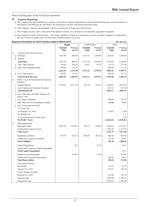#### **33 Segment Reporting:**

- a The Company has disclosed Business segment as the primary segment. Segments have been identified taking into account the nature of the products, the differing risks and returns, the organisation structure and internal reporting system.
- b The Company's operation predominantly relate to manufacture of Sugar and Confectionery.
- c The Company mainly caters to the needs of the domestic market. As such there are no reportable geographical segments.
- d Inter Segment Transfer Pricing Policy : The Sugar supplied to Candy & Confectionery division and Bura supplied to Confectionery division is based on market price. All other Inter Segment transfers are at cost.

#### **Segment Information for the12 months ended 31-March-2015 (Rs. In Lacs)**

|   |             |                                                                   | Sugar              |                  | Confectionery  |          | Total           |                    |
|---|-------------|-------------------------------------------------------------------|--------------------|------------------|----------------|----------|-----------------|--------------------|
|   |             |                                                                   | <b>Current</b>     | Previous         | <b>Current</b> | Previous | <b>Current</b>  | Previous           |
|   |             |                                                                   | Year               | period           | Year           | period   | Year            | period             |
| 1 |             | External Sales (Net of Excise)                                    |                    |                  |                |          |                 |                    |
|   | a           | Domestic                                                          | 1,952.59           | 888.94           | 1,574.34       | 2,549.90 | 3,526.93        | 3,438.84           |
|   |             | <b>b</b> Exports<br><b>Total Sales</b>                            |                    |                  | 1,574.34       | 2,549.90 |                 |                    |
|   |             |                                                                   | 1,952.59           | 888.94           |                |          | 3,526.93        | 3,438.84           |
|   | C           | Add.: Other Income                                                | 50.66<br>289.08    | 194.97<br>131.57 | 16.87          | 20.33    | 67.53<br>289.08 | 215.30<br>131.57   |
|   | d           | Add.: Inter Segmental Sales                                       |                    | 1,215.48         | 1,591.21       | 2,570.23 | 3,883.54        |                    |
|   |             | e Less.: Eliminations                                             | 2,292.33<br>289.08 | 131.57           |                |          | 289.08          | 3,785.71<br>131.57 |
|   |             | <b>Total Sement Revenue</b>                                       |                    | 1,083.91         | 1,591.21       |          | 3,594.46        | 3,654.14           |
| 2 |             | Profit / (Loss) before Interest & Corporate                       | 2,003.25           |                  |                | 2,570.23 |                 |                    |
|   |             | Expenses                                                          |                    |                  |                |          |                 |                    |
|   |             | a Segment Result                                                  | (779.64)           | (417.32)         | 251.59         | (16.33)  | (528.05)        | (433.65)           |
|   |             | b Less: Unallocated Corporate Expenses                            |                    |                  |                |          | 282.12          | 417.10             |
|   | $\mathbf c$ | <b>Operating Profit</b>                                           |                    |                  |                |          | (810.17)        | (850.75)           |
|   |             | d Less: Cane price and Other Expenses for<br><b>Earlier Years</b> |                    |                  |                |          |                 |                    |
|   |             | e Less: Interest Expenses                                         |                    |                  |                |          | 506.00          | 740.32             |
|   |             | f Add: Other Income (including Dividend)                          |                    |                  |                |          | 40.96           | 66.89              |
|   |             | g Less: Taxes paid / provided                                     |                    |                  |                |          |                 |                    |
|   |             | i) Current Tax                                                    |                    |                  |                |          |                 |                    |
|   |             | ii) Deferred Tax (Net)                                            |                    |                  |                |          | (8.85)          | 11.60              |
|   |             | iii) Wealth Tax                                                   |                    |                  |                |          |                 | 1.11               |
|   |             | iv) Tax Provision for earlier years                               |                    |                  |                |          |                 | 1.53               |
|   |             | Net Profit / (Loss)                                               |                    |                  |                |          | (1,266.36)      | (1,538.42)         |
| 3 |             | Other Information:                                                |                    |                  |                |          |                 |                    |
|   |             | <b>Segmental Assets</b>                                           | 2,693.22           | 5,224.81         | 396.72         | 493.90   | 3,089.94        | 5,718.71           |
|   |             | <b>Unallocated Corporate Assets</b>                               |                    |                  |                |          | 1,262.81        | 1,353.93           |
|   |             | <b>Total Assets</b>                                               |                    |                  |                |          | 4,352.75        | 7,072.64           |
|   |             | Segmental Liabilities                                             | 278.70             | 612.53           | 290.58         | 307.26   | 569.28          | 919.79             |
|   |             | <b>Unallocated Corporate Liabilities</b>                          |                    |                  |                |          | 177.00          | 88.63              |
|   |             | <b>Total Liabilities</b>                                          |                    |                  |                |          | 746.28          | 1,008.42           |
|   |             | Capital Expenditure                                               |                    | 2.87             |                | 31.24    |                 | 34.11              |
|   |             | Unallocated Corporate Capital Expenditure                         |                    |                  |                |          | ÷,              |                    |
|   |             | <b>Total Capital Expenditure</b>                                  |                    |                  |                |          |                 | 34.11              |
|   |             | Depreciation & Impairment                                         |                    | 243.09           |                | 19.96    |                 | 263.05             |
|   |             | <b>Unallocated Corporate Depreciation</b>                         |                    |                  |                |          | 204.45          | 48.81              |
|   |             | Total Depreciation                                                |                    |                  |                |          | 204.45          | 311.86             |
|   |             | <b>Total Assets Exclude</b>                                       |                    |                  |                |          |                 |                    |
|   |             | Investments                                                       |                    |                  |                |          | 27.41           | 27.41              |
|   |             | Advance Tax (Net)                                                 |                    |                  |                |          | 153.61          | 236.45             |
|   |             | <b>Total Liabilities Exclude</b>                                  |                    |                  |                |          |                 |                    |
|   |             | Deferred Tax (Net)                                                |                    |                  |                |          | 323.80          | 351.03             |
|   |             | Secured Loans                                                     |                    |                  |                |          | 1,962.99        | 3,493.01           |
|   |             | <b>Unsecured Loans</b>                                            |                    |                  |                |          | 1,816.63        | 1,492.48           |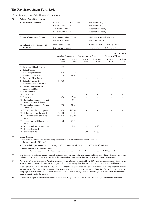| <b>Helated Faily Disclusules.</b>          |                                                |                                                                                    |  |  |  |
|--------------------------------------------|------------------------------------------------|------------------------------------------------------------------------------------|--|--|--|
| A. Associate Companies                     | Lanica Financial Services Limited              | Asseociate Company                                                                 |  |  |  |
|                                            | Carina Finvest Limited                         | Asseociate Company                                                                 |  |  |  |
|                                            | Acrow India Limited                            | Asseociate Company                                                                 |  |  |  |
|                                            | Leela Bharat Foundation                        | Asseociate Company                                                                 |  |  |  |
| <b>B.</b> Key Management Personnel         | Mr. Harshavardhan B Doshi<br>Mr. Nihal H Doshi | Chairman & Managing Director<br><b>Executive Director</b>                          |  |  |  |
| C. Relative of Key managerial<br>personnel | Mrs. Lamya H Doshi<br>Miss Carina H Doshi      | Spouse of Chairman & Managing Director<br>Daughter of Chairman & Managing Director |  |  |  |

## **34 Related Party Disclosures:**

|                                                                 |                            |                  |                          |                  |                             | (Rs. In Lacs)    |
|-----------------------------------------------------------------|----------------------------|------------------|--------------------------|------------------|-----------------------------|------------------|
|                                                                 | <b>Associate Companies</b> |                  | Key Mangement Perssonnel |                  | <b>Relative of Director</b> |                  |
|                                                                 | Current<br>Year            | Previous<br>Year | Current<br>Year          | Previous<br>Year | Current<br>Year             | Previous<br>Year |
|                                                                 |                            |                  |                          |                  |                             |                  |
| Purchase of Goods / Spares<br>1                                 | 0.13                       | ٠                |                          |                  |                             |                  |
| Sale of Goods<br>2                                              |                            |                  |                          |                  |                             |                  |
| Rendering of services<br>3                                      | 0.19                       | 0.20             |                          |                  |                             |                  |
| Receiving of Services<br>4                                      | 27.76                      | 51.67            |                          |                  |                             |                  |
| Purchase of Fixed Assets<br>5                                   |                            |                  |                          |                  |                             |                  |
| Sale of Fixed Assets<br>6                                       | 200.00                     |                  |                          |                  |                             |                  |
| Reimbursement of Expenses<br>7                                  |                            |                  |                          |                  |                             |                  |
| Amount received towards<br>8<br>Deputation of Staff             |                            |                  |                          |                  |                             |                  |
| Royalty received<br>9                                           |                            |                  |                          |                  |                             |                  |
| <b>Rent Received</b><br>10                                      |                            | 0.75             |                          |                  |                             |                  |
| 11 Rent paid                                                    | 0.56                       | 13.48            |                          |                  |                             |                  |
| 12 Outstanding balance in Current<br>Assets, and Loan & Advance | 4.44                       | 3.71             |                          |                  |                             |                  |
| 13 Outstanding balance in Current<br>Liabilities                | 47.98                      | 21.25            |                          |                  |                             |                  |
| 14 ICD received during the period                               | 700.00                     | 435.00           |                          |                  |                             |                  |
| 15 ICD repaid during the period                                 | 240.00                     | 10.00            |                          |                  |                             |                  |
| 16 ICD balance at the end of the<br>period                      | 1,070.00                   | 610.00           |                          |                  |                             |                  |
| 17 Interest paid on ICDs during the<br>period                   | 101.20                     | 55.95            |                          |                  |                             |                  |
| 18 Dividend paid during the period                              |                            | 1.67             |                          | 0.10             |                             |                  |
| 19 Dividend Received                                            |                            |                  |                          |                  |                             |                  |
| 20 Remuneration paid                                            |                            |                  | 9.00                     | 53.80            |                             |                  |

#### 35 **Lease Rentals:**

a) Future lease rentals payable within one year in respect of premises taken on lease Rs. Nil Lacs. (Previous Year Rs. Nil Lacs)

b) Rent includes payment of lease rent in respect of premises of Rs. Nil Lacs.(Previous Year Rs. 13.48 Lacs)

c) General Description of Lease Terms:

Lease rentals are recognised on the basis of agreed terms. Assets are taken on lease for a period of 12/ 33/ 60 months

36 The Company is in the advanced stages of selling its non core assets like land banks, buildings etc., which will absorb all losses and make it's net worth positive. Accordingly the accounts have been prepared on the basis of going concern assumption.

37 As per Sec.74 of the Companies Act 2013 which has come into force with effect from 01.04.2014, deposits accepted form public before commencement of this Act, remain unpaid or become due at any time thereafter the same has to be repaid within one year

or date on which it is due whichever is earlier. The Company has approached the Company Law Board seeking extension of time for repayment of deposit and the Company Law Board vide it's order no. CA. No. 09/2015 dtaed 07.04.2015 has approved the company's request for the time extension and directed the Company to pay the deposits with agreed interest to all Fixed Deposit holders as per the date of maturity.

38 Current period figures are of twelve months as compared to eighteen months for the previous period, hence are not comparable.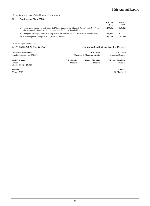# 39 **Earnings per Share (EPS)**

|                                                                                                                                                                             | <b>Current</b><br>Year | Previous<br>Year |
|-----------------------------------------------------------------------------------------------------------------------------------------------------------------------------|------------------------|------------------|
| Profit computation for both Basic & Diluted Earnings per Share of Rs. 50/- each Net Profit /<br>a)<br>(Loss) as per Profit & Loss Account available for Equity Shareholders | (1,266,36)             | (1.538.42)       |
| Weighted Average number of Equity Shares for EPS computaion (for Basic & Diluted EPS)<br>b)                                                                                 | 68,000                 | 68,000           |
| c) EPS (Weighted Average in Rs.) (Basic & Diluted)                                                                                                                          | (1.862.29)             | (2.262.38)       |

# As per our report of even date

| For V. SANKAR AIYAR & CO.                                    | For and on behalf of the Board of Director  |                             |                                          |  |
|--------------------------------------------------------------|---------------------------------------------|-----------------------------|------------------------------------------|--|
| <b>Chartered Accountants</b><br>Firm Registration No.109208W | H. B. Doshi<br>Chairman & Managing Director |                             | N. H. Doshi<br><b>Executive Director</b> |  |
| <b>Arvind Mohan</b><br>Partner<br>Membership No. 124082      | H. P. Gandhi<br>Director                    | Ramola Mahajani<br>Director | <b>Moorad Fazalbhov</b><br>Director      |  |
| Mumbai<br>28-May-2015                                        |                                             |                             | Mumbai<br>28-May-2015                    |  |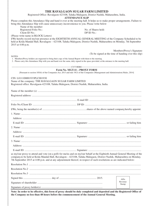| THE RAVALGAON SUGAR FARM LIMITED<br>Registered Office: Ravalgaon-423108, Taluka Malegaon, District Nashik, Maharashtra, India.<br><b>ATTENDANCE SLIP</b>                                                                                                                                                                                                                         |                                                                                   |  |
|----------------------------------------------------------------------------------------------------------------------------------------------------------------------------------------------------------------------------------------------------------------------------------------------------------------------------------------------------------------------------------|-----------------------------------------------------------------------------------|--|
| Please complete this Attendance Slip and hand it over at the meeting hall. It helps us to make proper arrangements. Failure to<br>bring this Attendance Slip will cause unnecessary inconvenience to you. Please write below<br>Name of the member:                                                                                                                              |                                                                                   |  |
| Registered Folio No.:<br>Client ID No.:<br>(Please write name in BLOCK Letters)                                                                                                                                                                                                                                                                                                  | No. of Shares held:<br>DP ID $No.$ :                                              |  |
| I/We hereby record my/our presence at the EIGHTIETH ANNUAL GENERAL MEETING of the Company Scheduled to be<br>held at Krida Mandal Hall, Ravalagon - 423108, Taluka Malegaon, District Nashik, Maharashtra on Monday, 7th September<br>2015 at 4:00 p.m.                                                                                                                          |                                                                                   |  |
|                                                                                                                                                                                                                                                                                                                                                                                  | Members/Proxy's Signature<br>(To be signed at the time of handing over this slip) |  |
| <b>NOTES:</b><br>1. Members/Proxy holders are requested to bring their copy of the Annual Report with them to the meeting.<br>2. Please carry this Attendance Slip with you and hand over the same, duly signed in the space provided, at the entrance to the meeting hall.                                                                                                      |                                                                                   |  |
|                                                                                                                                                                                                                                                                                                                                                                                  |                                                                                   |  |
| Form No. MGT-11 - PROXY FORM<br>[Pursuant to section 105(6) of the Companies Act, 2013 and rule 19(3) of the Companies (Management and Administration) Rules, 2014]                                                                                                                                                                                                              |                                                                                   |  |
| CIN: L01110MH1933PLC001930<br>Name of the company: THE RAVALGAON SUGAR FARM LIMITED<br>Registered office: Ravalgaon-423108, Taluka Malegaon, District Nashik, Maharashtra, India.                                                                                                                                                                                                |                                                                                   |  |
|                                                                                                                                                                                                                                                                                                                                                                                  |                                                                                   |  |
|                                                                                                                                                                                                                                                                                                                                                                                  |                                                                                   |  |
|                                                                                                                                                                                                                                                                                                                                                                                  |                                                                                   |  |
|                                                                                                                                                                                                                                                                                                                                                                                  |                                                                                   |  |
|                                                                                                                                                                                                                                                                                                                                                                                  |                                                                                   |  |
|                                                                                                                                                                                                                                                                                                                                                                                  |                                                                                   |  |
|                                                                                                                                                                                                                                                                                                                                                                                  |                                                                                   |  |
|                                                                                                                                                                                                                                                                                                                                                                                  |                                                                                   |  |
|                                                                                                                                                                                                                                                                                                                                                                                  |                                                                                   |  |
|                                                                                                                                                                                                                                                                                                                                                                                  |                                                                                   |  |
|                                                                                                                                                                                                                                                                                                                                                                                  |                                                                                   |  |
|                                                                                                                                                                                                                                                                                                                                                                                  |                                                                                   |  |
|                                                                                                                                                                                                                                                                                                                                                                                  |                                                                                   |  |
|                                                                                                                                                                                                                                                                                                                                                                                  |                                                                                   |  |
| as my/our proxy to attend and vote (on a poll) for me/us and on my/our behalf at the Eightieth Annual General Meeting of the<br>company, to be held at Krida Mandal Hall, Ravalagon - 423108, Taluka Malegaon, District Nashik, Maharashtra on Monday,<br>7th September 2015 at 4:00 p.m. and at any adjournment thereof, in respect of such resolutions as are indicated below: |                                                                                   |  |
|                                                                                                                                                                                                                                                                                                                                                                                  |                                                                                   |  |
|                                                                                                                                                                                                                                                                                                                                                                                  |                                                                                   |  |
|                                                                                                                                                                                                                                                                                                                                                                                  |                                                                                   |  |
|                                                                                                                                                                                                                                                                                                                                                                                  | Affix                                                                             |  |
|                                                                                                                                                                                                                                                                                                                                                                                  | Revenue<br>Stamp                                                                  |  |
|                                                                                                                                                                                                                                                                                                                                                                                  |                                                                                   |  |

**Note: In order to be effective, this form of proxy should be duly completed and deposited and the Registered Office of the Company no less than 48 hours before the commencement of the Annual General Meeting.**